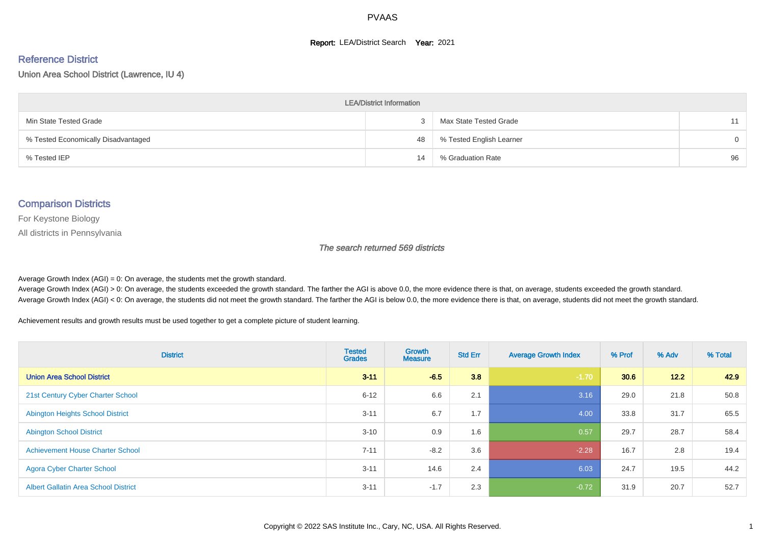#### **Report: LEA/District Search Year: 2021**

# Reference District

Union Area School District (Lawrence, IU 4)

| <b>LEA/District Information</b>     |    |                          |          |  |  |  |  |  |  |
|-------------------------------------|----|--------------------------|----------|--|--|--|--|--|--|
| Min State Tested Grade              |    | Max State Tested Grade   | 11       |  |  |  |  |  |  |
| % Tested Economically Disadvantaged | 48 | % Tested English Learner | $\Omega$ |  |  |  |  |  |  |
| % Tested IEP                        | 14 | % Graduation Rate        | 96       |  |  |  |  |  |  |

#### Comparison Districts

For Keystone Biology

All districts in Pennsylvania

The search returned 569 districts

Average Growth Index  $(AGI) = 0$ : On average, the students met the growth standard.

Average Growth Index (AGI) > 0: On average, the students exceeded the growth standard. The farther the AGI is above 0.0, the more evidence there is that, on average, students exceeded the growth standard. Average Growth Index (AGI) < 0: On average, the students did not meet the growth standard. The farther the AGI is below 0.0, the more evidence there is that, on average, students did not meet the growth standard.

Achievement results and growth results must be used together to get a complete picture of student learning.

| <b>District</b>                             | <b>Tested</b><br><b>Grades</b> | <b>Growth</b><br><b>Measure</b> | <b>Std Err</b> | <b>Average Growth Index</b> | % Prof | % Adv  | % Total |
|---------------------------------------------|--------------------------------|---------------------------------|----------------|-----------------------------|--------|--------|---------|
| <b>Union Area School District</b>           | $3 - 11$                       | $-6.5$                          | 3.8            | $-1.70$                     | 30.6   | $12.2$ | 42.9    |
| 21st Century Cyber Charter School           | $6 - 12$                       | 6.6                             | 2.1            | 3.16                        | 29.0   | 21.8   | 50.8    |
| <b>Abington Heights School District</b>     | $3 - 11$                       | 6.7                             | 1.7            | 4.00                        | 33.8   | 31.7   | 65.5    |
| <b>Abington School District</b>             | $3 - 10$                       | 0.9                             | 1.6            | 0.57                        | 29.7   | 28.7   | 58.4    |
| <b>Achievement House Charter School</b>     | $7 - 11$                       | $-8.2$                          | 3.6            | $-2.28$                     | 16.7   | 2.8    | 19.4    |
| <b>Agora Cyber Charter School</b>           | $3 - 11$                       | 14.6                            | 2.4            | 6.03                        | 24.7   | 19.5   | 44.2    |
| <b>Albert Gallatin Area School District</b> | $3 - 11$                       | $-1.7$                          | 2.3            | $-0.72$                     | 31.9   | 20.7   | 52.7    |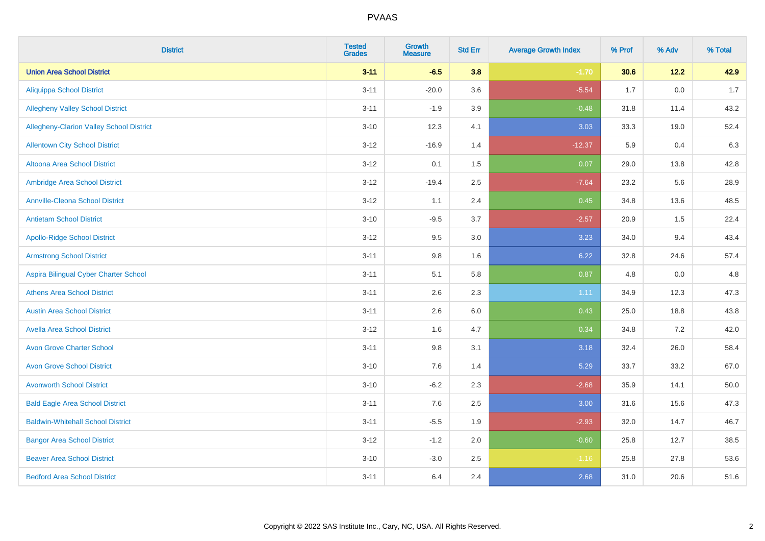| <b>District</b>                                 | <b>Tested</b><br><b>Grades</b> | <b>Growth</b><br><b>Measure</b> | <b>Std Err</b> | <b>Average Growth Index</b> | % Prof | % Adv   | % Total |
|-------------------------------------------------|--------------------------------|---------------------------------|----------------|-----------------------------|--------|---------|---------|
| <b>Union Area School District</b>               | $3 - 11$                       | $-6.5$                          | 3.8            | $-1.70$                     | 30.6   | 12.2    | 42.9    |
| <b>Aliquippa School District</b>                | $3 - 11$                       | $-20.0$                         | 3.6            | $-5.54$                     | 1.7    | $0.0\,$ | 1.7     |
| <b>Allegheny Valley School District</b>         | $3 - 11$                       | $-1.9$                          | 3.9            | $-0.48$                     | 31.8   | 11.4    | 43.2    |
| <b>Allegheny-Clarion Valley School District</b> | $3 - 10$                       | 12.3                            | 4.1            | 3.03                        | 33.3   | 19.0    | 52.4    |
| <b>Allentown City School District</b>           | $3-12$                         | $-16.9$                         | 1.4            | $-12.37$                    | 5.9    | 0.4     | 6.3     |
| Altoona Area School District                    | $3 - 12$                       | 0.1                             | 1.5            | 0.07                        | 29.0   | 13.8    | 42.8    |
| Ambridge Area School District                   | $3 - 12$                       | $-19.4$                         | 2.5            | $-7.64$                     | 23.2   | 5.6     | 28.9    |
| <b>Annville-Cleona School District</b>          | $3-12$                         | 1.1                             | 2.4            | 0.45                        | 34.8   | 13.6    | 48.5    |
| <b>Antietam School District</b>                 | $3 - 10$                       | $-9.5$                          | 3.7            | $-2.57$                     | 20.9   | 1.5     | 22.4    |
| <b>Apollo-Ridge School District</b>             | $3-12$                         | 9.5                             | 3.0            | 3.23                        | 34.0   | 9.4     | 43.4    |
| <b>Armstrong School District</b>                | $3 - 11$                       | 9.8                             | 1.6            | 6.22                        | 32.8   | 24.6    | 57.4    |
| Aspira Bilingual Cyber Charter School           | $3 - 11$                       | 5.1                             | 5.8            | 0.87                        | 4.8    | 0.0     | 4.8     |
| <b>Athens Area School District</b>              | $3 - 11$                       | 2.6                             | 2.3            | 1.11                        | 34.9   | 12.3    | 47.3    |
| <b>Austin Area School District</b>              | $3 - 11$                       | 2.6                             | 6.0            | 0.43                        | 25.0   | 18.8    | 43.8    |
| <b>Avella Area School District</b>              | $3-12$                         | 1.6                             | 4.7            | 0.34                        | 34.8   | $7.2\,$ | 42.0    |
| <b>Avon Grove Charter School</b>                | $3 - 11$                       | 9.8                             | 3.1            | 3.18                        | 32.4   | 26.0    | 58.4    |
| <b>Avon Grove School District</b>               | $3 - 10$                       | 7.6                             | 1.4            | 5.29                        | 33.7   | 33.2    | 67.0    |
| <b>Avonworth School District</b>                | $3 - 10$                       | $-6.2$                          | 2.3            | $-2.68$                     | 35.9   | 14.1    | 50.0    |
| <b>Bald Eagle Area School District</b>          | $3 - 11$                       | 7.6                             | 2.5            | 3.00                        | 31.6   | 15.6    | 47.3    |
| <b>Baldwin-Whitehall School District</b>        | $3 - 11$                       | $-5.5$                          | 1.9            | $-2.93$                     | 32.0   | 14.7    | 46.7    |
| <b>Bangor Area School District</b>              | $3 - 12$                       | $-1.2$                          | 2.0            | $-0.60$                     | 25.8   | 12.7    | 38.5    |
| <b>Beaver Area School District</b>              | $3 - 10$                       | $-3.0$                          | 2.5            | $-1.16$                     | 25.8   | 27.8    | 53.6    |
| <b>Bedford Area School District</b>             | $3 - 11$                       | 6.4                             | 2.4            | 2.68                        | 31.0   | 20.6    | 51.6    |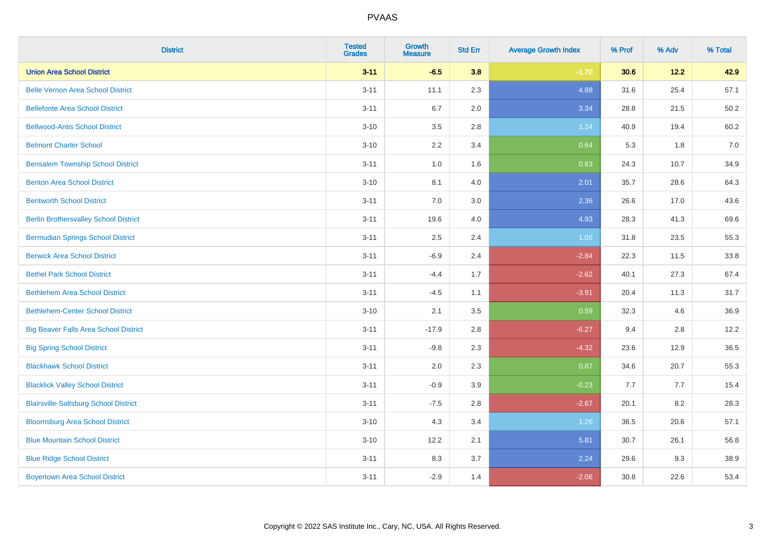| <b>District</b>                              | <b>Tested</b><br><b>Grades</b> | <b>Growth</b><br><b>Measure</b> | <b>Std Err</b> | <b>Average Growth Index</b> | % Prof | % Adv  | % Total |
|----------------------------------------------|--------------------------------|---------------------------------|----------------|-----------------------------|--------|--------|---------|
| <b>Union Area School District</b>            | $3 - 11$                       | $-6.5$                          | 3.8            | $-1.70$                     | 30.6   | $12.2$ | 42.9    |
| <b>Belle Vernon Area School District</b>     | $3 - 11$                       | 11.1                            | 2.3            | 4.88                        | 31.6   | 25.4   | 57.1    |
| <b>Bellefonte Area School District</b>       | $3 - 11$                       | 6.7                             | 2.0            | 3.34                        | 28.8   | 21.5   | 50.2    |
| <b>Bellwood-Antis School District</b>        | $3 - 10$                       | $3.5\,$                         | 2.8            | 1.24                        | 40.9   | 19.4   | 60.2    |
| <b>Belmont Charter School</b>                | $3 - 10$                       | 2.2                             | 3.4            | 0.64                        | 5.3    | 1.8    | 7.0     |
| <b>Bensalem Township School District</b>     | $3 - 11$                       | 1.0                             | 1.6            | 0.63                        | 24.3   | 10.7   | 34.9    |
| <b>Benton Area School District</b>           | $3 - 10$                       | 8.1                             | 4.0            | 2.01                        | 35.7   | 28.6   | 64.3    |
| <b>Bentworth School District</b>             | $3 - 11$                       | 7.0                             | 3.0            | 2.36                        | 26.6   | 17.0   | 43.6    |
| <b>Berlin Brothersvalley School District</b> | $3 - 11$                       | 19.6                            | 4.0            | 4.93                        | 28.3   | 41.3   | 69.6    |
| <b>Bermudian Springs School District</b>     | $3 - 11$                       | $2.5\,$                         | 2.4            | 1.05                        | 31.8   | 23.5   | 55.3    |
| <b>Berwick Area School District</b>          | $3 - 11$                       | $-6.9$                          | 2.4            | $-2.84$                     | 22.3   | 11.5   | 33.8    |
| <b>Bethel Park School District</b>           | $3 - 11$                       | $-4.4$                          | 1.7            | $-2.62$                     | 40.1   | 27.3   | 67.4    |
| <b>Bethlehem Area School District</b>        | $3 - 11$                       | $-4.5$                          | 1.1            | $-3.91$                     | 20.4   | 11.3   | 31.7    |
| <b>Bethlehem-Center School District</b>      | $3 - 10$                       | 2.1                             | 3.5            | 0.59                        | 32.3   | 4.6    | 36.9    |
| <b>Big Beaver Falls Area School District</b> | $3 - 11$                       | $-17.9$                         | 2.8            | $-6.27$                     | 9.4    | 2.8    | 12.2    |
| <b>Big Spring School District</b>            | $3 - 11$                       | $-9.8$                          | 2.3            | $-4.32$                     | 23.6   | 12.9   | 36.5    |
| <b>Blackhawk School District</b>             | $3 - 11$                       | 2.0                             | 2.3            | 0.87                        | 34.6   | 20.7   | 55.3    |
| <b>Blacklick Valley School District</b>      | $3 - 11$                       | $-0.9$                          | 3.9            | $-0.23$                     | 7.7    | 7.7    | 15.4    |
| <b>Blairsville-Saltsburg School District</b> | $3 - 11$                       | $-7.5$                          | 2.8            | $-2.67$                     | 20.1   | 8.2    | 28.3    |
| <b>Bloomsburg Area School District</b>       | $3 - 10$                       | 4.3                             | 3.4            | 1.26                        | 36.5   | 20.6   | 57.1    |
| <b>Blue Mountain School District</b>         | $3 - 10$                       | 12.2                            | 2.1            | 5.81                        | 30.7   | 26.1   | 56.8    |
| <b>Blue Ridge School District</b>            | $3 - 11$                       | 8.3                             | 3.7            | 2.24                        | 29.6   | 9.3    | 38.9    |
| <b>Boyertown Area School District</b>        | $3 - 11$                       | $-2.9$                          | 1.4            | $-2.06$                     | 30.8   | 22.6   | 53.4    |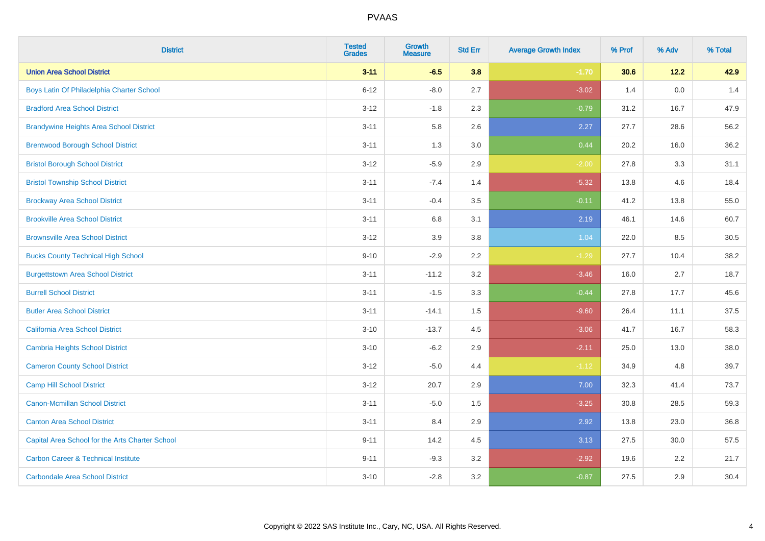| <b>District</b>                                 | <b>Tested</b><br><b>Grades</b> | <b>Growth</b><br><b>Measure</b> | <b>Std Err</b> | <b>Average Growth Index</b> | % Prof | % Adv | % Total |
|-------------------------------------------------|--------------------------------|---------------------------------|----------------|-----------------------------|--------|-------|---------|
| <b>Union Area School District</b>               | $3 - 11$                       | $-6.5$                          | 3.8            | $-1.70$                     | 30.6   | 12.2  | 42.9    |
| Boys Latin Of Philadelphia Charter School       | $6 - 12$                       | $-8.0$                          | 2.7            | $-3.02$                     | 1.4    | 0.0   | 1.4     |
| <b>Bradford Area School District</b>            | $3 - 12$                       | $-1.8$                          | 2.3            | $-0.79$                     | 31.2   | 16.7  | 47.9    |
| <b>Brandywine Heights Area School District</b>  | $3 - 11$                       | 5.8                             | 2.6            | 2.27                        | 27.7   | 28.6  | 56.2    |
| <b>Brentwood Borough School District</b>        | $3 - 11$                       | 1.3                             | 3.0            | 0.44                        | 20.2   | 16.0  | 36.2    |
| <b>Bristol Borough School District</b>          | $3 - 12$                       | $-5.9$                          | 2.9            | $-2.00$                     | 27.8   | 3.3   | 31.1    |
| <b>Bristol Township School District</b>         | $3 - 11$                       | $-7.4$                          | 1.4            | $-5.32$                     | 13.8   | 4.6   | 18.4    |
| <b>Brockway Area School District</b>            | $3 - 11$                       | $-0.4$                          | 3.5            | $-0.11$                     | 41.2   | 13.8  | 55.0    |
| <b>Brookville Area School District</b>          | $3 - 11$                       | 6.8                             | 3.1            | 2.19                        | 46.1   | 14.6  | 60.7    |
| <b>Brownsville Area School District</b>         | $3 - 12$                       | 3.9                             | 3.8            | 1.04                        | 22.0   | 8.5   | 30.5    |
| <b>Bucks County Technical High School</b>       | $9 - 10$                       | $-2.9$                          | 2.2            | $-1.29$                     | 27.7   | 10.4  | 38.2    |
| <b>Burgettstown Area School District</b>        | $3 - 11$                       | $-11.2$                         | 3.2            | $-3.46$                     | 16.0   | 2.7   | 18.7    |
| <b>Burrell School District</b>                  | $3 - 11$                       | $-1.5$                          | 3.3            | $-0.44$                     | 27.8   | 17.7  | 45.6    |
| <b>Butler Area School District</b>              | $3 - 11$                       | $-14.1$                         | 1.5            | $-9.60$                     | 26.4   | 11.1  | 37.5    |
| California Area School District                 | $3 - 10$                       | $-13.7$                         | 4.5            | $-3.06$                     | 41.7   | 16.7  | 58.3    |
| <b>Cambria Heights School District</b>          | $3 - 10$                       | $-6.2$                          | 2.9            | $-2.11$                     | 25.0   | 13.0  | 38.0    |
| <b>Cameron County School District</b>           | $3-12$                         | $-5.0$                          | 4.4            | $-1.12$                     | 34.9   | 4.8   | 39.7    |
| <b>Camp Hill School District</b>                | $3 - 12$                       | 20.7                            | 2.9            | 7.00                        | 32.3   | 41.4  | 73.7    |
| Canon-Mcmillan School District                  | $3 - 11$                       | $-5.0$                          | 1.5            | $-3.25$                     | 30.8   | 28.5  | 59.3    |
| <b>Canton Area School District</b>              | $3 - 11$                       | 8.4                             | 2.9            | 2.92                        | 13.8   | 23.0  | 36.8    |
| Capital Area School for the Arts Charter School | $9 - 11$                       | 14.2                            | 4.5            | 3.13                        | 27.5   | 30.0  | 57.5    |
| <b>Carbon Career &amp; Technical Institute</b>  | $9 - 11$                       | $-9.3$                          | 3.2            | $-2.92$                     | 19.6   | 2.2   | 21.7    |
| <b>Carbondale Area School District</b>          | $3 - 10$                       | $-2.8$                          | 3.2            | $-0.87$                     | 27.5   | 2.9   | 30.4    |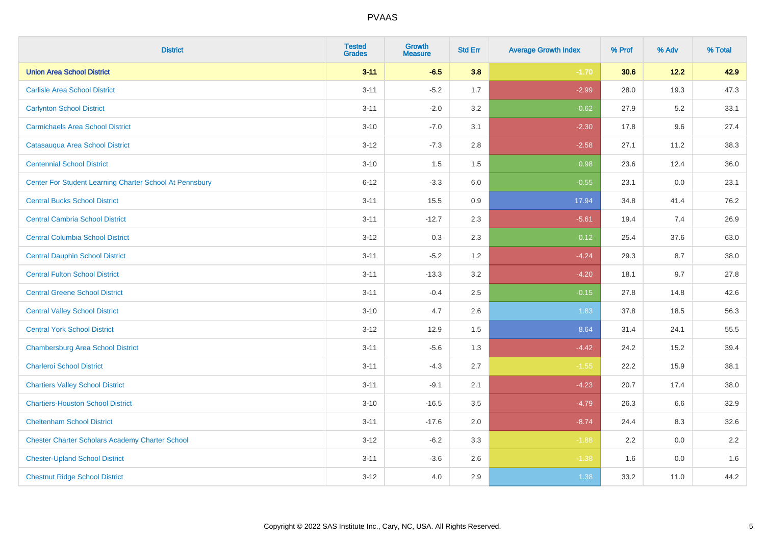| <b>District</b>                                         | <b>Tested</b><br><b>Grades</b> | <b>Growth</b><br><b>Measure</b> | <b>Std Err</b> | <b>Average Growth Index</b> | % Prof | % Adv | % Total |
|---------------------------------------------------------|--------------------------------|---------------------------------|----------------|-----------------------------|--------|-------|---------|
| <b>Union Area School District</b>                       | $3 - 11$                       | $-6.5$                          | 3.8            | $-1.70$                     | 30.6   | 12.2  | 42.9    |
| <b>Carlisle Area School District</b>                    | $3 - 11$                       | $-5.2$                          | 1.7            | $-2.99$                     | 28.0   | 19.3  | 47.3    |
| <b>Carlynton School District</b>                        | $3 - 11$                       | $-2.0$                          | 3.2            | $-0.62$                     | 27.9   | 5.2   | 33.1    |
| <b>Carmichaels Area School District</b>                 | $3 - 10$                       | $-7.0$                          | 3.1            | $-2.30$                     | 17.8   | 9.6   | 27.4    |
| Catasauqua Area School District                         | $3-12$                         | $-7.3$                          | 2.8            | $-2.58$                     | 27.1   | 11.2  | 38.3    |
| <b>Centennial School District</b>                       | $3 - 10$                       | 1.5                             | 1.5            | 0.98                        | 23.6   | 12.4  | 36.0    |
| Center For Student Learning Charter School At Pennsbury | $6 - 12$                       | $-3.3$                          | 6.0            | $-0.55$                     | 23.1   | 0.0   | 23.1    |
| <b>Central Bucks School District</b>                    | $3 - 11$                       | 15.5                            | 0.9            | 17.94                       | 34.8   | 41.4  | 76.2    |
| <b>Central Cambria School District</b>                  | $3 - 11$                       | $-12.7$                         | 2.3            | $-5.61$                     | 19.4   | 7.4   | 26.9    |
| <b>Central Columbia School District</b>                 | $3-12$                         | 0.3                             | 2.3            | 0.12                        | 25.4   | 37.6  | 63.0    |
| <b>Central Dauphin School District</b>                  | $3 - 11$                       | $-5.2$                          | 1.2            | $-4.24$                     | 29.3   | 8.7   | 38.0    |
| <b>Central Fulton School District</b>                   | $3 - 11$                       | $-13.3$                         | 3.2            | $-4.20$                     | 18.1   | 9.7   | 27.8    |
| <b>Central Greene School District</b>                   | $3 - 11$                       | $-0.4$                          | 2.5            | $-0.15$                     | 27.8   | 14.8  | 42.6    |
| <b>Central Valley School District</b>                   | $3 - 10$                       | 4.7                             | 2.6            | 1.83                        | 37.8   | 18.5  | 56.3    |
| <b>Central York School District</b>                     | $3-12$                         | 12.9                            | 1.5            | 8.64                        | 31.4   | 24.1  | 55.5    |
| <b>Chambersburg Area School District</b>                | $3 - 11$                       | $-5.6$                          | 1.3            | $-4.42$                     | 24.2   | 15.2  | 39.4    |
| <b>Charleroi School District</b>                        | $3 - 11$                       | $-4.3$                          | 2.7            | $-1.55$                     | 22.2   | 15.9  | 38.1    |
| <b>Chartiers Valley School District</b>                 | $3 - 11$                       | $-9.1$                          | 2.1            | $-4.23$                     | 20.7   | 17.4  | 38.0    |
| <b>Chartiers-Houston School District</b>                | $3 - 10$                       | $-16.5$                         | 3.5            | $-4.79$                     | 26.3   | 6.6   | 32.9    |
| <b>Cheltenham School District</b>                       | $3 - 11$                       | $-17.6$                         | 2.0            | $-8.74$                     | 24.4   | 8.3   | 32.6    |
| <b>Chester Charter Scholars Academy Charter School</b>  | $3 - 12$                       | $-6.2$                          | 3.3            | $-1.88$                     | 2.2    | 0.0   | 2.2     |
| <b>Chester-Upland School District</b>                   | $3 - 11$                       | $-3.6$                          | 2.6            | $-1.38$                     | 1.6    | 0.0   | 1.6     |
| <b>Chestnut Ridge School District</b>                   | $3 - 12$                       | 4.0                             | 2.9            | 1.38                        | 33.2   | 11.0  | 44.2    |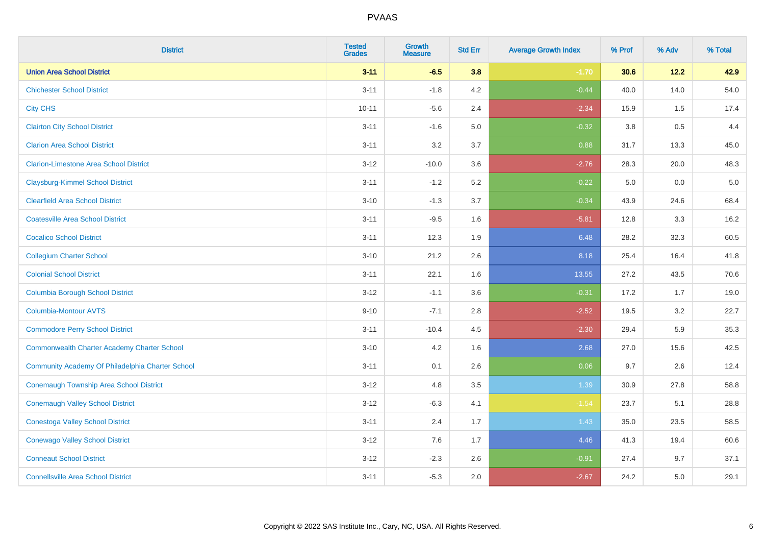| <b>District</b>                                    | <b>Tested</b><br><b>Grades</b> | <b>Growth</b><br><b>Measure</b> | <b>Std Err</b> | <b>Average Growth Index</b> | % Prof  | % Adv | % Total |
|----------------------------------------------------|--------------------------------|---------------------------------|----------------|-----------------------------|---------|-------|---------|
| <b>Union Area School District</b>                  | $3 - 11$                       | $-6.5$                          | 3.8            | $-1.70$                     | 30.6    | 12.2  | 42.9    |
| <b>Chichester School District</b>                  | $3 - 11$                       | $-1.8$                          | 4.2            | $-0.44$                     | 40.0    | 14.0  | 54.0    |
| <b>City CHS</b>                                    | $10 - 11$                      | $-5.6$                          | 2.4            | $-2.34$                     | 15.9    | 1.5   | 17.4    |
| <b>Clairton City School District</b>               | $3 - 11$                       | $-1.6$                          | 5.0            | $-0.32$                     | $3.8\,$ | 0.5   | 4.4     |
| <b>Clarion Area School District</b>                | $3 - 11$                       | 3.2                             | 3.7            | 0.88                        | 31.7    | 13.3  | 45.0    |
| <b>Clarion-Limestone Area School District</b>      | $3-12$                         | $-10.0$                         | 3.6            | $-2.76$                     | 28.3    | 20.0  | 48.3    |
| <b>Claysburg-Kimmel School District</b>            | $3 - 11$                       | $-1.2$                          | 5.2            | $-0.22$                     | 5.0     | 0.0   | $5.0$   |
| <b>Clearfield Area School District</b>             | $3 - 10$                       | $-1.3$                          | 3.7            | $-0.34$                     | 43.9    | 24.6  | 68.4    |
| <b>Coatesville Area School District</b>            | $3 - 11$                       | $-9.5$                          | 1.6            | $-5.81$                     | 12.8    | 3.3   | 16.2    |
| <b>Cocalico School District</b>                    | $3 - 11$                       | 12.3                            | 1.9            | 6.48                        | 28.2    | 32.3  | 60.5    |
| <b>Collegium Charter School</b>                    | $3 - 10$                       | 21.2                            | 2.6            | 8.18                        | 25.4    | 16.4  | 41.8    |
| <b>Colonial School District</b>                    | $3 - 11$                       | 22.1                            | 1.6            | 13.55                       | 27.2    | 43.5  | 70.6    |
| <b>Columbia Borough School District</b>            | $3-12$                         | $-1.1$                          | 3.6            | $-0.31$                     | 17.2    | 1.7   | 19.0    |
| Columbia-Montour AVTS                              | $9 - 10$                       | $-7.1$                          | 2.8            | $-2.52$                     | 19.5    | 3.2   | 22.7    |
| <b>Commodore Perry School District</b>             | $3 - 11$                       | $-10.4$                         | 4.5            | $-2.30$                     | 29.4    | 5.9   | 35.3    |
| <b>Commonwealth Charter Academy Charter School</b> | $3 - 10$                       | 4.2                             | 1.6            | 2.68                        | 27.0    | 15.6  | 42.5    |
| Community Academy Of Philadelphia Charter School   | $3 - 11$                       | 0.1                             | 2.6            | 0.06                        | 9.7     | 2.6   | 12.4    |
| Conemaugh Township Area School District            | $3 - 12$                       | 4.8                             | 3.5            | 1.39                        | 30.9    | 27.8  | 58.8    |
| <b>Conemaugh Valley School District</b>            | $3 - 12$                       | $-6.3$                          | 4.1            | $-1.54$                     | 23.7    | 5.1   | 28.8    |
| <b>Conestoga Valley School District</b>            | $3 - 11$                       | 2.4                             | 1.7            | 1.43                        | 35.0    | 23.5  | 58.5    |
| <b>Conewago Valley School District</b>             | $3 - 12$                       | 7.6                             | 1.7            | 4.46                        | 41.3    | 19.4  | 60.6    |
| <b>Conneaut School District</b>                    | $3 - 12$                       | $-2.3$                          | 2.6            | $-0.91$                     | 27.4    | 9.7   | 37.1    |
| <b>Connellsville Area School District</b>          | $3 - 11$                       | $-5.3$                          | 2.0            | $-2.67$                     | 24.2    | 5.0   | 29.1    |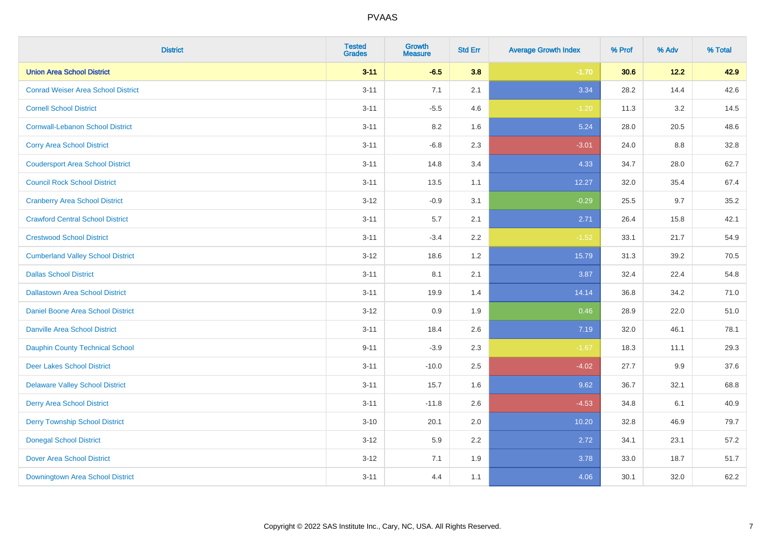| <b>District</b>                           | <b>Tested</b><br><b>Grades</b> | <b>Growth</b><br><b>Measure</b> | <b>Std Err</b> | <b>Average Growth Index</b> | % Prof | % Adv | % Total |
|-------------------------------------------|--------------------------------|---------------------------------|----------------|-----------------------------|--------|-------|---------|
| <b>Union Area School District</b>         | $3 - 11$                       | $-6.5$                          | 3.8            | $-1.70$                     | 30.6   | 12.2  | 42.9    |
| <b>Conrad Weiser Area School District</b> | $3 - 11$                       | 7.1                             | 2.1            | 3.34                        | 28.2   | 14.4  | 42.6    |
| <b>Cornell School District</b>            | $3 - 11$                       | $-5.5$                          | 4.6            | $-1.20$                     | 11.3   | 3.2   | 14.5    |
| <b>Cornwall-Lebanon School District</b>   | $3 - 11$                       | 8.2                             | 1.6            | 5.24                        | 28.0   | 20.5  | 48.6    |
| <b>Corry Area School District</b>         | $3 - 11$                       | $-6.8$                          | 2.3            | $-3.01$                     | 24.0   | 8.8   | 32.8    |
| <b>Coudersport Area School District</b>   | $3 - 11$                       | 14.8                            | 3.4            | 4.33                        | 34.7   | 28.0  | 62.7    |
| <b>Council Rock School District</b>       | $3 - 11$                       | 13.5                            | 1.1            | 12.27                       | 32.0   | 35.4  | 67.4    |
| <b>Cranberry Area School District</b>     | $3 - 12$                       | $-0.9$                          | 3.1            | $-0.29$                     | 25.5   | 9.7   | 35.2    |
| <b>Crawford Central School District</b>   | $3 - 11$                       | 5.7                             | 2.1            | 2.71                        | 26.4   | 15.8  | 42.1    |
| <b>Crestwood School District</b>          | $3 - 11$                       | $-3.4$                          | 2.2            | $-1.52$                     | 33.1   | 21.7  | 54.9    |
| <b>Cumberland Valley School District</b>  | $3 - 12$                       | 18.6                            | 1.2            | 15.79                       | 31.3   | 39.2  | 70.5    |
| <b>Dallas School District</b>             | $3 - 11$                       | 8.1                             | 2.1            | 3.87                        | 32.4   | 22.4  | 54.8    |
| <b>Dallastown Area School District</b>    | $3 - 11$                       | 19.9                            | 1.4            | 14.14                       | 36.8   | 34.2  | 71.0    |
| <b>Daniel Boone Area School District</b>  | $3 - 12$                       | 0.9                             | 1.9            | 0.46                        | 28.9   | 22.0  | 51.0    |
| <b>Danville Area School District</b>      | $3 - 11$                       | 18.4                            | 2.6            | 7.19                        | 32.0   | 46.1  | 78.1    |
| <b>Dauphin County Technical School</b>    | $9 - 11$                       | $-3.9$                          | 2.3            | $-1.67$                     | 18.3   | 11.1  | 29.3    |
| <b>Deer Lakes School District</b>         | $3 - 11$                       | $-10.0$                         | 2.5            | $-4.02$                     | 27.7   | 9.9   | 37.6    |
| <b>Delaware Valley School District</b>    | $3 - 11$                       | 15.7                            | 1.6            | 9.62                        | 36.7   | 32.1  | 68.8    |
| <b>Derry Area School District</b>         | $3 - 11$                       | $-11.8$                         | 2.6            | $-4.53$                     | 34.8   | 6.1   | 40.9    |
| <b>Derry Township School District</b>     | $3 - 10$                       | 20.1                            | 2.0            | 10.20                       | 32.8   | 46.9  | 79.7    |
| <b>Donegal School District</b>            | $3 - 12$                       | 5.9                             | 2.2            | 2.72                        | 34.1   | 23.1  | 57.2    |
| <b>Dover Area School District</b>         | $3 - 12$                       | 7.1                             | 1.9            | 3.78                        | 33.0   | 18.7  | 51.7    |
| Downingtown Area School District          | $3 - 11$                       | 4.4                             | 1.1            | 4.06                        | 30.1   | 32.0  | 62.2    |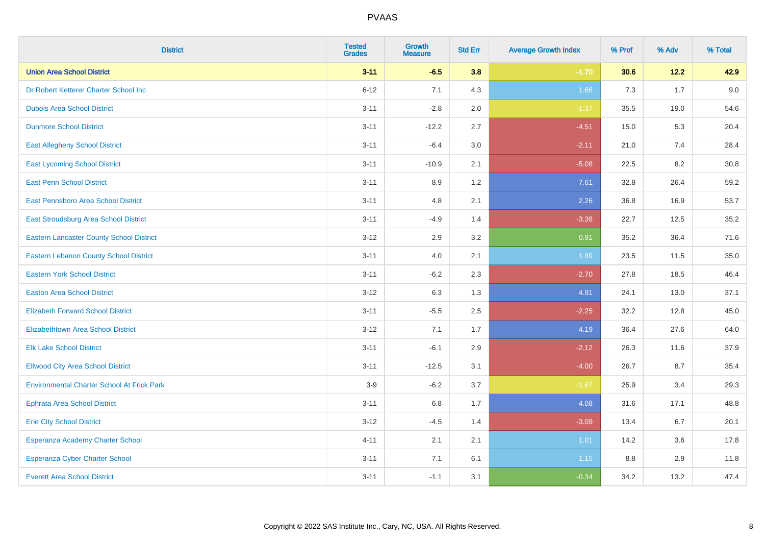| <b>District</b>                                   | <b>Tested</b><br><b>Grades</b> | <b>Growth</b><br><b>Measure</b> | <b>Std Err</b> | <b>Average Growth Index</b> | % Prof | % Adv | % Total |
|---------------------------------------------------|--------------------------------|---------------------------------|----------------|-----------------------------|--------|-------|---------|
| <b>Union Area School District</b>                 | $3 - 11$                       | $-6.5$                          | 3.8            | $-1.70$                     | 30.6   | 12.2  | 42.9    |
| Dr Robert Ketterer Charter School Inc             | $6 - 12$                       | 7.1                             | 4.3            | 1.66                        | 7.3    | 1.7   | 9.0     |
| <b>Dubois Area School District</b>                | $3 - 11$                       | $-2.8$                          | 2.0            | $-1.37$                     | 35.5   | 19.0  | 54.6    |
| <b>Dunmore School District</b>                    | $3 - 11$                       | $-12.2$                         | 2.7            | $-4.51$                     | 15.0   | 5.3   | 20.4    |
| <b>East Allegheny School District</b>             | $3 - 11$                       | $-6.4$                          | 3.0            | $-2.11$                     | 21.0   | 7.4   | 28.4    |
| <b>East Lycoming School District</b>              | $3 - 11$                       | $-10.9$                         | 2.1            | $-5.08$                     | 22.5   | 8.2   | 30.8    |
| <b>East Penn School District</b>                  | $3 - 11$                       | 8.9                             | 1.2            | 7.61                        | 32.8   | 26.4  | 59.2    |
| East Pennsboro Area School District               | $3 - 11$                       | 4.8                             | 2.1            | 2.26                        | 36.8   | 16.9  | 53.7    |
| East Stroudsburg Area School District             | $3 - 11$                       | $-4.9$                          | 1.4            | $-3.38$                     | 22.7   | 12.5  | 35.2    |
| <b>Eastern Lancaster County School District</b>   | $3 - 12$                       | 2.9                             | 3.2            | 0.91                        | 35.2   | 36.4  | 71.6    |
| Eastern Lebanon County School District            | $3 - 11$                       | 4.0                             | 2.1            | 1.89                        | 23.5   | 11.5  | 35.0    |
| <b>Eastern York School District</b>               | $3 - 11$                       | $-6.2$                          | 2.3            | $-2.70$                     | 27.8   | 18.5  | 46.4    |
| <b>Easton Area School District</b>                | $3 - 12$                       | 6.3                             | 1.3            | 4.91                        | 24.1   | 13.0  | 37.1    |
| <b>Elizabeth Forward School District</b>          | $3 - 11$                       | $-5.5$                          | 2.5            | $-2.25$                     | 32.2   | 12.8  | 45.0    |
| <b>Elizabethtown Area School District</b>         | $3 - 12$                       | 7.1                             | 1.7            | 4.19                        | 36.4   | 27.6  | 64.0    |
| <b>Elk Lake School District</b>                   | $3 - 11$                       | $-6.1$                          | 2.9            | $-2.12$                     | 26.3   | 11.6  | 37.9    |
| <b>Ellwood City Area School District</b>          | $3 - 11$                       | $-12.5$                         | 3.1            | $-4.00$                     | 26.7   | 8.7   | 35.4    |
| <b>Environmental Charter School At Frick Park</b> | $3-9$                          | $-6.2$                          | 3.7            | $-1.67$                     | 25.9   | 3.4   | 29.3    |
| <b>Ephrata Area School District</b>               | $3 - 11$                       | $6.8\,$                         | 1.7            | 4.08                        | 31.6   | 17.1  | 48.8    |
| <b>Erie City School District</b>                  | $3 - 12$                       | $-4.5$                          | 1.4            | $-3.09$                     | 13.4   | 6.7   | 20.1    |
| Esperanza Academy Charter School                  | $4 - 11$                       | 2.1                             | 2.1            | 1.01                        | 14.2   | 3.6   | 17.8    |
| <b>Esperanza Cyber Charter School</b>             | $3 - 11$                       | 7.1                             | 6.1            | 1.15                        | 8.8    | 2.9   | 11.8    |
| <b>Everett Area School District</b>               | $3 - 11$                       | $-1.1$                          | 3.1            | $-0.34$                     | 34.2   | 13.2  | 47.4    |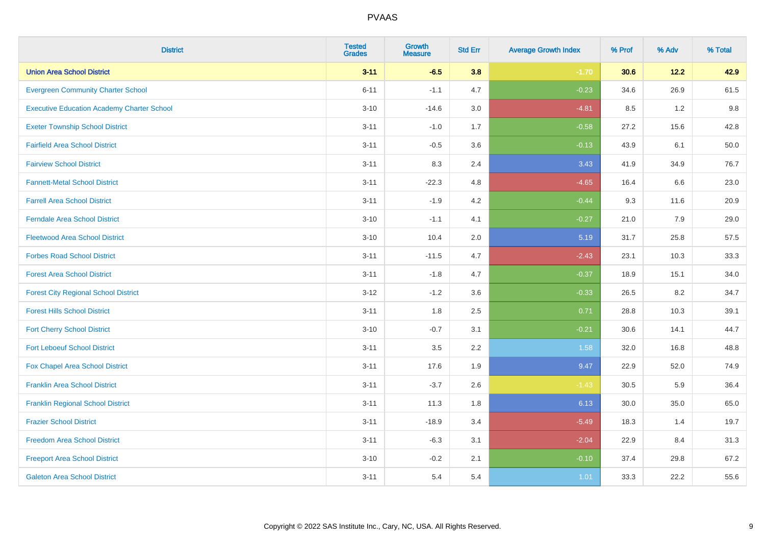| <b>District</b>                                   | <b>Tested</b><br><b>Grades</b> | <b>Growth</b><br><b>Measure</b> | <b>Std Err</b> | <b>Average Growth Index</b> | % Prof | % Adv  | % Total |
|---------------------------------------------------|--------------------------------|---------------------------------|----------------|-----------------------------|--------|--------|---------|
| <b>Union Area School District</b>                 | $3 - 11$                       | $-6.5$                          | 3.8            | $-1.70$                     | 30.6   | $12.2$ | 42.9    |
| <b>Evergreen Community Charter School</b>         | $6 - 11$                       | $-1.1$                          | 4.7            | $-0.23$                     | 34.6   | 26.9   | 61.5    |
| <b>Executive Education Academy Charter School</b> | $3 - 10$                       | $-14.6$                         | 3.0            | $-4.81$                     | 8.5    | 1.2    | 9.8     |
| <b>Exeter Township School District</b>            | $3 - 11$                       | $-1.0$                          | 1.7            | $-0.58$                     | 27.2   | 15.6   | 42.8    |
| <b>Fairfield Area School District</b>             | $3 - 11$                       | $-0.5$                          | 3.6            | $-0.13$                     | 43.9   | 6.1    | 50.0    |
| <b>Fairview School District</b>                   | $3 - 11$                       | 8.3                             | 2.4            | 3.43                        | 41.9   | 34.9   | 76.7    |
| <b>Fannett-Metal School District</b>              | $3 - 11$                       | $-22.3$                         | 4.8            | $-4.65$                     | 16.4   | 6.6    | 23.0    |
| <b>Farrell Area School District</b>               | $3 - 11$                       | $-1.9$                          | 4.2            | $-0.44$                     | 9.3    | 11.6   | 20.9    |
| <b>Ferndale Area School District</b>              | $3 - 10$                       | $-1.1$                          | 4.1            | $-0.27$                     | 21.0   | 7.9    | 29.0    |
| <b>Fleetwood Area School District</b>             | $3 - 10$                       | 10.4                            | 2.0            | 5.19                        | 31.7   | 25.8   | 57.5    |
| <b>Forbes Road School District</b>                | $3 - 11$                       | $-11.5$                         | 4.7            | $-2.43$                     | 23.1   | 10.3   | 33.3    |
| <b>Forest Area School District</b>                | $3 - 11$                       | $-1.8$                          | 4.7            | $-0.37$                     | 18.9   | 15.1   | 34.0    |
| <b>Forest City Regional School District</b>       | $3 - 12$                       | $-1.2$                          | 3.6            | $-0.33$                     | 26.5   | 8.2    | 34.7    |
| <b>Forest Hills School District</b>               | $3 - 11$                       | 1.8                             | 2.5            | 0.71                        | 28.8   | 10.3   | 39.1    |
| <b>Fort Cherry School District</b>                | $3 - 10$                       | $-0.7$                          | 3.1            | $-0.21$                     | 30.6   | 14.1   | 44.7    |
| <b>Fort Leboeuf School District</b>               | $3 - 11$                       | 3.5                             | 2.2            | 1.58                        | 32.0   | 16.8   | 48.8    |
| Fox Chapel Area School District                   | $3 - 11$                       | 17.6                            | 1.9            | 9.47                        | 22.9   | 52.0   | 74.9    |
| <b>Franklin Area School District</b>              | $3 - 11$                       | $-3.7$                          | 2.6            | $-1.43$                     | 30.5   | 5.9    | 36.4    |
| <b>Franklin Regional School District</b>          | $3 - 11$                       | 11.3                            | 1.8            | 6.13                        | 30.0   | 35.0   | 65.0    |
| <b>Frazier School District</b>                    | $3 - 11$                       | $-18.9$                         | 3.4            | $-5.49$                     | 18.3   | 1.4    | 19.7    |
| <b>Freedom Area School District</b>               | $3 - 11$                       | $-6.3$                          | 3.1            | $-2.04$                     | 22.9   | 8.4    | 31.3    |
| <b>Freeport Area School District</b>              | $3 - 10$                       | $-0.2$                          | 2.1            | $-0.10$                     | 37.4   | 29.8   | 67.2    |
| <b>Galeton Area School District</b>               | $3 - 11$                       | 5.4                             | 5.4            | 1.01                        | 33.3   | 22.2   | 55.6    |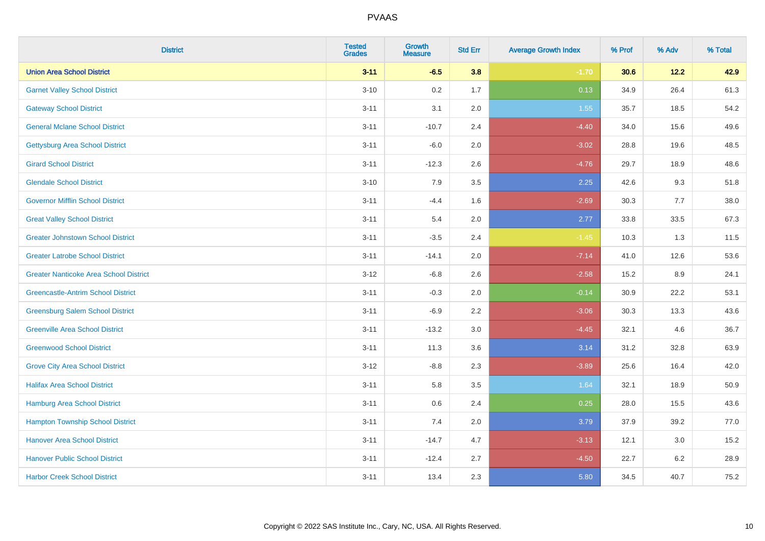| <b>District</b>                               | <b>Tested</b><br><b>Grades</b> | <b>Growth</b><br><b>Measure</b> | <b>Std Err</b> | <b>Average Growth Index</b> | % Prof | % Adv   | % Total |
|-----------------------------------------------|--------------------------------|---------------------------------|----------------|-----------------------------|--------|---------|---------|
| <b>Union Area School District</b>             | $3 - 11$                       | $-6.5$                          | 3.8            | $-1.70$                     | 30.6   | 12.2    | 42.9    |
| <b>Garnet Valley School District</b>          | $3 - 10$                       | 0.2                             | 1.7            | 0.13                        | 34.9   | 26.4    | 61.3    |
| <b>Gateway School District</b>                | $3 - 11$                       | 3.1                             | 2.0            | 1.55                        | 35.7   | 18.5    | 54.2    |
| <b>General Mclane School District</b>         | $3 - 11$                       | $-10.7$                         | 2.4            | $-4.40$                     | 34.0   | 15.6    | 49.6    |
| <b>Gettysburg Area School District</b>        | $3 - 11$                       | $-6.0$                          | 2.0            | $-3.02$                     | 28.8   | 19.6    | 48.5    |
| <b>Girard School District</b>                 | $3 - 11$                       | $-12.3$                         | 2.6            | $-4.76$                     | 29.7   | 18.9    | 48.6    |
| <b>Glendale School District</b>               | $3 - 10$                       | 7.9                             | 3.5            | 2.25                        | 42.6   | 9.3     | 51.8    |
| <b>Governor Mifflin School District</b>       | $3 - 11$                       | $-4.4$                          | 1.6            | $-2.69$                     | 30.3   | 7.7     | 38.0    |
| <b>Great Valley School District</b>           | $3 - 11$                       | 5.4                             | 2.0            | 2.77                        | 33.8   | 33.5    | 67.3    |
| <b>Greater Johnstown School District</b>      | $3 - 11$                       | $-3.5$                          | 2.4            | $-1.45$                     | 10.3   | 1.3     | 11.5    |
| <b>Greater Latrobe School District</b>        | $3 - 11$                       | $-14.1$                         | 2.0            | $-7.14$                     | 41.0   | 12.6    | 53.6    |
| <b>Greater Nanticoke Area School District</b> | $3 - 12$                       | $-6.8$                          | 2.6            | $-2.58$                     | 15.2   | 8.9     | 24.1    |
| <b>Greencastle-Antrim School District</b>     | $3 - 11$                       | $-0.3$                          | 2.0            | $-0.14$                     | 30.9   | 22.2    | 53.1    |
| <b>Greensburg Salem School District</b>       | $3 - 11$                       | $-6.9$                          | 2.2            | $-3.06$                     | 30.3   | 13.3    | 43.6    |
| <b>Greenville Area School District</b>        | $3 - 11$                       | $-13.2$                         | 3.0            | $-4.45$                     | 32.1   | 4.6     | 36.7    |
| <b>Greenwood School District</b>              | $3 - 11$                       | 11.3                            | 3.6            | 3.14                        | 31.2   | 32.8    | 63.9    |
| <b>Grove City Area School District</b>        | $3-12$                         | $-8.8$                          | 2.3            | $-3.89$                     | 25.6   | 16.4    | 42.0    |
| <b>Halifax Area School District</b>           | $3 - 11$                       | 5.8                             | 3.5            | 1.64                        | 32.1   | 18.9    | 50.9    |
| <b>Hamburg Area School District</b>           | $3 - 11$                       | 0.6                             | 2.4            | 0.25                        | 28.0   | 15.5    | 43.6    |
| <b>Hampton Township School District</b>       | $3 - 11$                       | 7.4                             | 2.0            | 3.79                        | 37.9   | 39.2    | 77.0    |
| <b>Hanover Area School District</b>           | $3 - 11$                       | $-14.7$                         | 4.7            | $-3.13$                     | 12.1   | $3.0\,$ | 15.2    |
| <b>Hanover Public School District</b>         | $3 - 11$                       | $-12.4$                         | 2.7            | $-4.50$                     | 22.7   | $6.2\,$ | 28.9    |
| <b>Harbor Creek School District</b>           | $3 - 11$                       | 13.4                            | 2.3            | 5.80                        | 34.5   | 40.7    | 75.2    |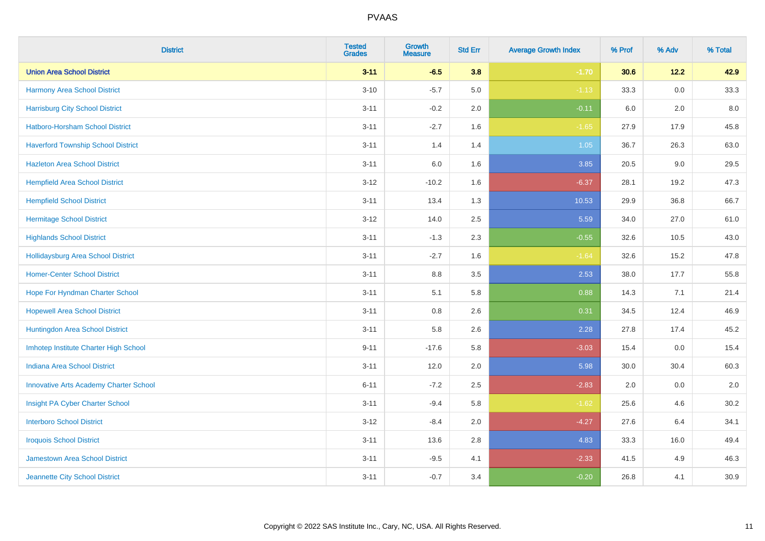| <b>District</b>                               | <b>Tested</b><br><b>Grades</b> | <b>Growth</b><br><b>Measure</b> | <b>Std Err</b> | <b>Average Growth Index</b> | % Prof | % Adv   | % Total |
|-----------------------------------------------|--------------------------------|---------------------------------|----------------|-----------------------------|--------|---------|---------|
| <b>Union Area School District</b>             | $3 - 11$                       | $-6.5$                          | 3.8            | $-1.70$                     | 30.6   | $12.2$  | 42.9    |
| <b>Harmony Area School District</b>           | $3 - 10$                       | $-5.7$                          | 5.0            | $-1.13$                     | 33.3   | $0.0\,$ | 33.3    |
| <b>Harrisburg City School District</b>        | $3 - 11$                       | $-0.2$                          | 2.0            | $-0.11$                     | 6.0    | 2.0     | 8.0     |
| Hatboro-Horsham School District               | $3 - 11$                       | $-2.7$                          | 1.6            | $-1.65$                     | 27.9   | 17.9    | 45.8    |
| <b>Haverford Township School District</b>     | $3 - 11$                       | 1.4                             | 1.4            | 1.05                        | 36.7   | 26.3    | 63.0    |
| <b>Hazleton Area School District</b>          | $3 - 11$                       | 6.0                             | 1.6            | 3.85                        | 20.5   | 9.0     | 29.5    |
| <b>Hempfield Area School District</b>         | $3 - 12$                       | $-10.2$                         | 1.6            | $-6.37$                     | 28.1   | 19.2    | 47.3    |
| <b>Hempfield School District</b>              | $3 - 11$                       | 13.4                            | 1.3            | 10.53                       | 29.9   | 36.8    | 66.7    |
| <b>Hermitage School District</b>              | $3 - 12$                       | 14.0                            | 2.5            | 5.59                        | 34.0   | 27.0    | 61.0    |
| <b>Highlands School District</b>              | $3 - 11$                       | $-1.3$                          | 2.3            | $-0.55$                     | 32.6   | 10.5    | 43.0    |
| <b>Hollidaysburg Area School District</b>     | $3 - 11$                       | $-2.7$                          | 1.6            | $-1.64$                     | 32.6   | 15.2    | 47.8    |
| <b>Homer-Center School District</b>           | $3 - 11$                       | $8.8\,$                         | 3.5            | 2.53                        | 38.0   | 17.7    | 55.8    |
| Hope For Hyndman Charter School               | $3 - 11$                       | 5.1                             | 5.8            | 0.88                        | 14.3   | 7.1     | 21.4    |
| <b>Hopewell Area School District</b>          | $3 - 11$                       | 0.8                             | 2.6            | 0.31                        | 34.5   | 12.4    | 46.9    |
| Huntingdon Area School District               | $3 - 11$                       | 5.8                             | 2.6            | 2.28                        | 27.8   | 17.4    | 45.2    |
| Imhotep Institute Charter High School         | $9 - 11$                       | $-17.6$                         | 5.8            | $-3.03$                     | 15.4   | 0.0     | 15.4    |
| <b>Indiana Area School District</b>           | $3 - 11$                       | 12.0                            | 2.0            | 5.98                        | 30.0   | 30.4    | 60.3    |
| <b>Innovative Arts Academy Charter School</b> | $6 - 11$                       | $-7.2$                          | 2.5            | $-2.83$                     | 2.0    | 0.0     | $2.0\,$ |
| Insight PA Cyber Charter School               | $3 - 11$                       | $-9.4$                          | 5.8            | $-1.62$                     | 25.6   | 4.6     | 30.2    |
| <b>Interboro School District</b>              | $3 - 12$                       | $-8.4$                          | 2.0            | $-4.27$                     | 27.6   | 6.4     | 34.1    |
| <b>Iroquois School District</b>               | $3 - 11$                       | 13.6                            | 2.8            | 4.83                        | 33.3   | 16.0    | 49.4    |
| <b>Jamestown Area School District</b>         | $3 - 11$                       | $-9.5$                          | 4.1            | $-2.33$                     | 41.5   | 4.9     | 46.3    |
| Jeannette City School District                | $3 - 11$                       | $-0.7$                          | 3.4            | $-0.20$                     | 26.8   | 4.1     | 30.9    |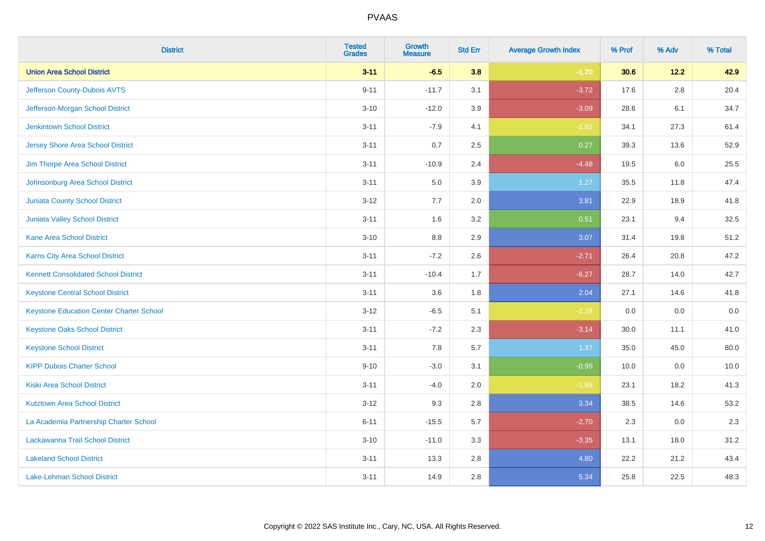| <b>District</b>                                 | <b>Tested</b><br><b>Grades</b> | <b>Growth</b><br><b>Measure</b> | <b>Std Err</b> | <b>Average Growth Index</b> | % Prof | % Adv   | % Total |
|-------------------------------------------------|--------------------------------|---------------------------------|----------------|-----------------------------|--------|---------|---------|
| <b>Union Area School District</b>               | $3 - 11$                       | $-6.5$                          | 3.8            | $-1.70$                     | 30.6   | $12.2$  | 42.9    |
| Jefferson County-Dubois AVTS                    | $9 - 11$                       | $-11.7$                         | 3.1            | $-3.72$                     | 17.6   | $2.8\,$ | 20.4    |
| Jefferson-Morgan School District                | $3 - 10$                       | $-12.0$                         | 3.9            | $-3.09$                     | 28.6   | 6.1     | 34.7    |
| <b>Jenkintown School District</b>               | $3 - 11$                       | $-7.9$                          | 4.1            | $-1.92$                     | 34.1   | 27.3    | 61.4    |
| <b>Jersey Shore Area School District</b>        | $3 - 11$                       | 0.7                             | 2.5            | 0.27                        | 39.3   | 13.6    | 52.9    |
| Jim Thorpe Area School District                 | $3 - 11$                       | $-10.9$                         | 2.4            | $-4.48$                     | 19.5   | 6.0     | 25.5    |
| Johnsonburg Area School District                | $3 - 11$                       | 5.0                             | 3.9            | 1.27                        | 35.5   | 11.8    | 47.4    |
| <b>Juniata County School District</b>           | $3 - 12$                       | 7.7                             | 2.0            | 3.81                        | 22.9   | 18.9    | 41.8    |
| Juniata Valley School District                  | $3 - 11$                       | 1.6                             | 3.2            | 0.51                        | 23.1   | 9.4     | 32.5    |
| <b>Kane Area School District</b>                | $3 - 10$                       | 8.8                             | 2.9            | 3.07                        | 31.4   | 19.8    | 51.2    |
| Karns City Area School District                 | $3 - 11$                       | $-7.2$                          | 2.6            | $-2.71$                     | 26.4   | 20.8    | 47.2    |
| <b>Kennett Consolidated School District</b>     | $3 - 11$                       | $-10.4$                         | 1.7            | $-6.27$                     | 28.7   | 14.0    | 42.7    |
| <b>Keystone Central School District</b>         | $3 - 11$                       | 3.6                             | 1.8            | 2.04                        | 27.1   | 14.6    | 41.8    |
| <b>Keystone Education Center Charter School</b> | $3 - 12$                       | $-6.5$                          | 5.1            | $-1.28$                     | 0.0    | 0.0     | 0.0     |
| <b>Keystone Oaks School District</b>            | $3 - 11$                       | $-7.2$                          | 2.3            | $-3.14$                     | 30.0   | 11.1    | 41.0    |
| <b>Keystone School District</b>                 | $3 - 11$                       | 7.8                             | 5.7            | 1.37                        | 35.0   | 45.0    | 80.0    |
| <b>KIPP Dubois Charter School</b>               | $9 - 10$                       | $-3.0$                          | 3.1            | $-0.95$                     | 10.0   | 0.0     | 10.0    |
| <b>Kiski Area School District</b>               | $3 - 11$                       | $-4.0$                          | 2.0            | $-1.99$                     | 23.1   | 18.2    | 41.3    |
| <b>Kutztown Area School District</b>            | $3 - 12$                       | 9.3                             | 2.8            | 3.34                        | 38.5   | 14.6    | 53.2    |
| La Academia Partnership Charter School          | $6 - 11$                       | $-15.5$                         | 5.7            | $-2.70$                     | 2.3    | 0.0     | 2.3     |
| Lackawanna Trail School District                | $3 - 10$                       | $-11.0$                         | 3.3            | $-3.35$                     | 13.1   | 18.0    | 31.2    |
| <b>Lakeland School District</b>                 | $3 - 11$                       | 13.3                            | 2.8            | 4.80                        | 22.2   | 21.2    | 43.4    |
| Lake-Lehman School District                     | $3 - 11$                       | 14.9                            | 2.8            | 5.34                        | 25.8   | 22.5    | 48.3    |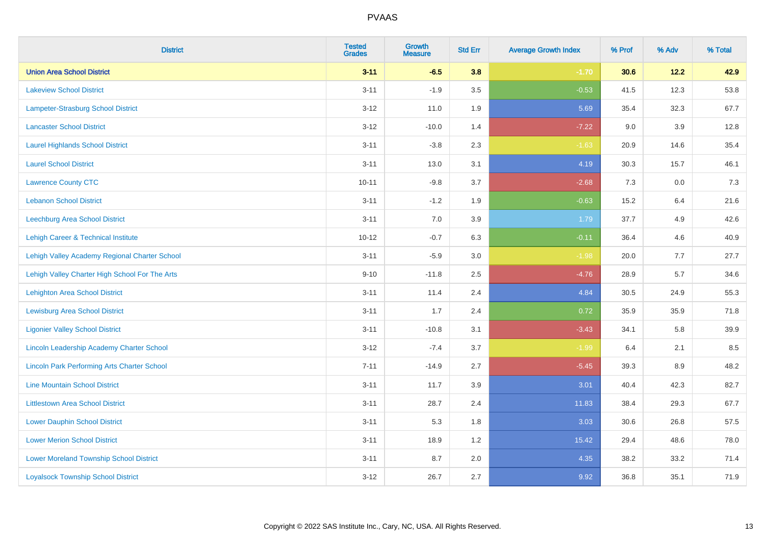| <b>District</b>                                    | <b>Tested</b><br><b>Grades</b> | <b>Growth</b><br><b>Measure</b> | <b>Std Err</b> | <b>Average Growth Index</b> | % Prof | % Adv   | % Total |
|----------------------------------------------------|--------------------------------|---------------------------------|----------------|-----------------------------|--------|---------|---------|
| <b>Union Area School District</b>                  | $3 - 11$                       | $-6.5$                          | 3.8            | $-1.70$                     | 30.6   | 12.2    | 42.9    |
| <b>Lakeview School District</b>                    | $3 - 11$                       | $-1.9$                          | 3.5            | $-0.53$                     | 41.5   | 12.3    | 53.8    |
| Lampeter-Strasburg School District                 | $3 - 12$                       | 11.0                            | 1.9            | 5.69                        | 35.4   | 32.3    | 67.7    |
| <b>Lancaster School District</b>                   | $3 - 12$                       | $-10.0$                         | 1.4            | $-7.22$                     | 9.0    | $3.9\,$ | 12.8    |
| <b>Laurel Highlands School District</b>            | $3 - 11$                       | $-3.8$                          | 2.3            | $-1.63$                     | 20.9   | 14.6    | 35.4    |
| <b>Laurel School District</b>                      | $3 - 11$                       | 13.0                            | 3.1            | 4.19                        | 30.3   | 15.7    | 46.1    |
| <b>Lawrence County CTC</b>                         | $10 - 11$                      | $-9.8$                          | 3.7            | $-2.68$                     | 7.3    | 0.0     | $7.3$   |
| <b>Lebanon School District</b>                     | $3 - 11$                       | $-1.2$                          | 1.9            | $-0.63$                     | 15.2   | 6.4     | 21.6    |
| Leechburg Area School District                     | $3 - 11$                       | 7.0                             | 3.9            | 1.79                        | 37.7   | 4.9     | 42.6    |
| Lehigh Career & Technical Institute                | $10 - 12$                      | $-0.7$                          | 6.3            | $-0.11$                     | 36.4   | 4.6     | 40.9    |
| Lehigh Valley Academy Regional Charter School      | $3 - 11$                       | $-5.9$                          | 3.0            | $-1.98$                     | 20.0   | 7.7     | 27.7    |
| Lehigh Valley Charter High School For The Arts     | $9 - 10$                       | $-11.8$                         | 2.5            | $-4.76$                     | 28.9   | 5.7     | 34.6    |
| <b>Lehighton Area School District</b>              | $3 - 11$                       | 11.4                            | 2.4            | 4.84                        | 30.5   | 24.9    | 55.3    |
| Lewisburg Area School District                     | $3 - 11$                       | 1.7                             | 2.4            | 0.72                        | 35.9   | 35.9    | 71.8    |
| <b>Ligonier Valley School District</b>             | $3 - 11$                       | $-10.8$                         | 3.1            | $-3.43$                     | 34.1   | 5.8     | 39.9    |
| Lincoln Leadership Academy Charter School          | $3 - 12$                       | $-7.4$                          | 3.7            | $-1.99$                     | 6.4    | 2.1     | 8.5     |
| <b>Lincoln Park Performing Arts Charter School</b> | $7 - 11$                       | $-14.9$                         | 2.7            | $-5.45$                     | 39.3   | 8.9     | 48.2    |
| <b>Line Mountain School District</b>               | $3 - 11$                       | 11.7                            | 3.9            | 3.01                        | 40.4   | 42.3    | 82.7    |
| <b>Littlestown Area School District</b>            | $3 - 11$                       | 28.7                            | 2.4            | 11.83                       | 38.4   | 29.3    | 67.7    |
| <b>Lower Dauphin School District</b>               | $3 - 11$                       | 5.3                             | 1.8            | 3.03                        | 30.6   | 26.8    | 57.5    |
| <b>Lower Merion School District</b>                | $3 - 11$                       | 18.9                            | 1.2            | 15.42                       | 29.4   | 48.6    | 78.0    |
| <b>Lower Moreland Township School District</b>     | $3 - 11$                       | 8.7                             | 2.0            | 4.35                        | 38.2   | 33.2    | 71.4    |
| <b>Loyalsock Township School District</b>          | $3 - 12$                       | 26.7                            | 2.7            | 9.92                        | 36.8   | 35.1    | 71.9    |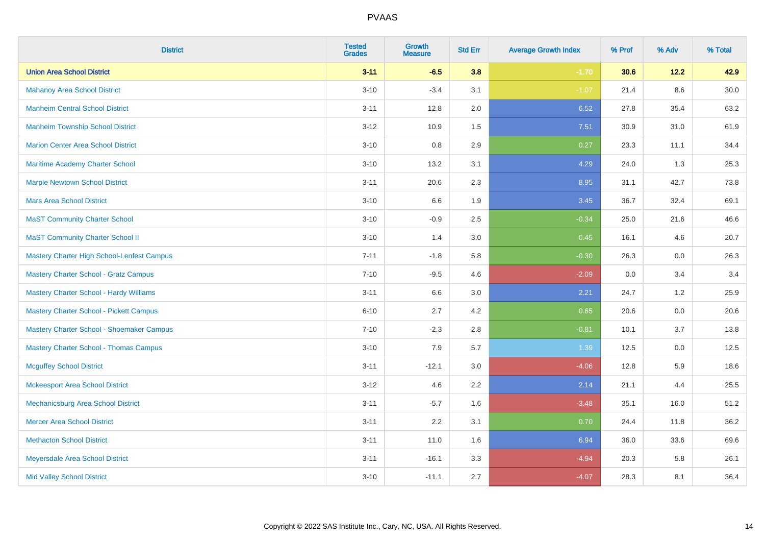| <b>District</b>                                | <b>Tested</b><br><b>Grades</b> | <b>Growth</b><br><b>Measure</b> | <b>Std Err</b> | <b>Average Growth Index</b> | % Prof | % Adv   | % Total  |
|------------------------------------------------|--------------------------------|---------------------------------|----------------|-----------------------------|--------|---------|----------|
| <b>Union Area School District</b>              | $3 - 11$                       | $-6.5$                          | 3.8            | $-1.70$                     | 30.6   | 12.2    | 42.9     |
| <b>Mahanoy Area School District</b>            | $3 - 10$                       | $-3.4$                          | 3.1            | $-1.07$                     | 21.4   | $8.6\,$ | $30.0\,$ |
| <b>Manheim Central School District</b>         | $3 - 11$                       | 12.8                            | 2.0            | 6.52                        | 27.8   | 35.4    | 63.2     |
| <b>Manheim Township School District</b>        | $3 - 12$                       | 10.9                            | 1.5            | 7.51                        | 30.9   | 31.0    | 61.9     |
| <b>Marion Center Area School District</b>      | $3 - 10$                       | 0.8                             | 2.9            | 0.27                        | 23.3   | 11.1    | 34.4     |
| Maritime Academy Charter School                | $3 - 10$                       | 13.2                            | 3.1            | 4.29                        | 24.0   | 1.3     | 25.3     |
| <b>Marple Newtown School District</b>          | $3 - 11$                       | 20.6                            | 2.3            | 8.95                        | 31.1   | 42.7    | 73.8     |
| <b>Mars Area School District</b>               | $3 - 10$                       | 6.6                             | 1.9            | 3.45                        | 36.7   | 32.4    | 69.1     |
| <b>MaST Community Charter School</b>           | $3 - 10$                       | $-0.9$                          | 2.5            | $-0.34$                     | 25.0   | 21.6    | 46.6     |
| <b>MaST Community Charter School II</b>        | $3 - 10$                       | 1.4                             | 3.0            | 0.45                        | 16.1   | 4.6     | 20.7     |
| Mastery Charter High School-Lenfest Campus     | $7 - 11$                       | $-1.8$                          | 5.8            | $-0.30$                     | 26.3   | 0.0     | 26.3     |
| <b>Mastery Charter School - Gratz Campus</b>   | $7 - 10$                       | $-9.5$                          | 4.6            | $-2.09$                     | 0.0    | 3.4     | 3.4      |
| Mastery Charter School - Hardy Williams        | $3 - 11$                       | 6.6                             | 3.0            | 2.21                        | 24.7   | 1.2     | 25.9     |
| <b>Mastery Charter School - Pickett Campus</b> | $6 - 10$                       | 2.7                             | 4.2            | 0.65                        | 20.6   | 0.0     | 20.6     |
| Mastery Charter School - Shoemaker Campus      | $7 - 10$                       | $-2.3$                          | 2.8            | $-0.81$                     | 10.1   | 3.7     | 13.8     |
| <b>Mastery Charter School - Thomas Campus</b>  | $3 - 10$                       | 7.9                             | 5.7            | 1.39                        | 12.5   | $0.0\,$ | 12.5     |
| <b>Mcguffey School District</b>                | $3 - 11$                       | $-12.1$                         | 3.0            | $-4.06$                     | 12.8   | 5.9     | 18.6     |
| <b>Mckeesport Area School District</b>         | $3 - 12$                       | 4.6                             | 2.2            | 2.14                        | 21.1   | 4.4     | 25.5     |
| Mechanicsburg Area School District             | $3 - 11$                       | $-5.7$                          | 1.6            | $-3.48$                     | 35.1   | 16.0    | 51.2     |
| <b>Mercer Area School District</b>             | $3 - 11$                       | 2.2                             | 3.1            | 0.70                        | 24.4   | 11.8    | 36.2     |
| <b>Methacton School District</b>               | $3 - 11$                       | 11.0                            | 1.6            | 6.94                        | 36.0   | 33.6    | 69.6     |
| Meyersdale Area School District                | $3 - 11$                       | $-16.1$                         | 3.3            | $-4.94$                     | 20.3   | 5.8     | 26.1     |
| <b>Mid Valley School District</b>              | $3 - 10$                       | $-11.1$                         | 2.7            | $-4.07$                     | 28.3   | 8.1     | 36.4     |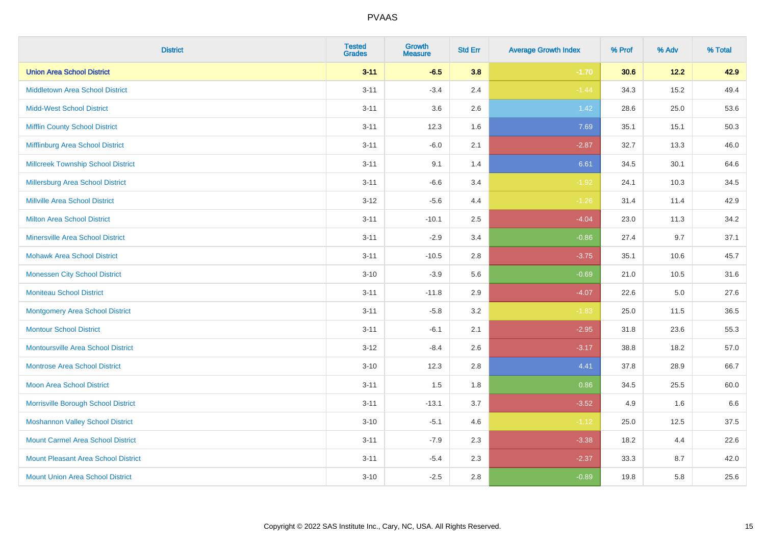| <b>District</b>                            | <b>Tested</b><br><b>Grades</b> | <b>Growth</b><br><b>Measure</b> | <b>Std Err</b> | <b>Average Growth Index</b> | % Prof | % Adv | % Total |
|--------------------------------------------|--------------------------------|---------------------------------|----------------|-----------------------------|--------|-------|---------|
| <b>Union Area School District</b>          | $3 - 11$                       | $-6.5$                          | 3.8            | $-1.70$                     | 30.6   | 12.2  | 42.9    |
| <b>Middletown Area School District</b>     | $3 - 11$                       | $-3.4$                          | 2.4            | $-1.44$                     | 34.3   | 15.2  | 49.4    |
| <b>Midd-West School District</b>           | $3 - 11$                       | 3.6                             | 2.6            | $1.42$                      | 28.6   | 25.0  | 53.6    |
| <b>Mifflin County School District</b>      | $3 - 11$                       | 12.3                            | 1.6            | 7.69                        | 35.1   | 15.1  | 50.3    |
| Mifflinburg Area School District           | $3 - 11$                       | $-6.0$                          | 2.1            | $-2.87$                     | 32.7   | 13.3  | 46.0    |
| <b>Millcreek Township School District</b>  | $3 - 11$                       | 9.1                             | 1.4            | 6.61                        | 34.5   | 30.1  | 64.6    |
| <b>Millersburg Area School District</b>    | $3 - 11$                       | $-6.6$                          | 3.4            | $-1.92$                     | 24.1   | 10.3  | 34.5    |
| <b>Millville Area School District</b>      | $3-12$                         | $-5.6$                          | 4.4            | $-1.26$                     | 31.4   | 11.4  | 42.9    |
| <b>Milton Area School District</b>         | $3 - 11$                       | $-10.1$                         | 2.5            | $-4.04$                     | 23.0   | 11.3  | 34.2    |
| <b>Minersville Area School District</b>    | $3 - 11$                       | $-2.9$                          | 3.4            | $-0.86$                     | 27.4   | 9.7   | 37.1    |
| <b>Mohawk Area School District</b>         | $3 - 11$                       | $-10.5$                         | 2.8            | $-3.75$                     | 35.1   | 10.6  | 45.7    |
| <b>Monessen City School District</b>       | $3 - 10$                       | $-3.9$                          | 5.6            | $-0.69$                     | 21.0   | 10.5  | 31.6    |
| <b>Moniteau School District</b>            | $3 - 11$                       | $-11.8$                         | 2.9            | $-4.07$                     | 22.6   | 5.0   | 27.6    |
| <b>Montgomery Area School District</b>     | $3 - 11$                       | $-5.8$                          | 3.2            | $-1.83$                     | 25.0   | 11.5  | 36.5    |
| <b>Montour School District</b>             | $3 - 11$                       | $-6.1$                          | 2.1            | $-2.95$                     | 31.8   | 23.6  | 55.3    |
| <b>Montoursville Area School District</b>  | $3 - 12$                       | $-8.4$                          | 2.6            | $-3.17$                     | 38.8   | 18.2  | 57.0    |
| <b>Montrose Area School District</b>       | $3 - 10$                       | 12.3                            | 2.8            | 4.41                        | 37.8   | 28.9  | 66.7    |
| <b>Moon Area School District</b>           | $3 - 11$                       | 1.5                             | 1.8            | 0.86                        | 34.5   | 25.5  | 60.0    |
| Morrisville Borough School District        | $3 - 11$                       | $-13.1$                         | 3.7            | $-3.52$                     | 4.9    | 1.6   | 6.6     |
| <b>Moshannon Valley School District</b>    | $3 - 10$                       | $-5.1$                          | 4.6            | $-1.12$                     | 25.0   | 12.5  | 37.5    |
| <b>Mount Carmel Area School District</b>   | $3 - 11$                       | $-7.9$                          | 2.3            | $-3.38$                     | 18.2   | 4.4   | 22.6    |
| <b>Mount Pleasant Area School District</b> | $3 - 11$                       | $-5.4$                          | 2.3            | $-2.37$                     | 33.3   | 8.7   | 42.0    |
| <b>Mount Union Area School District</b>    | $3 - 10$                       | $-2.5$                          | 2.8            | $-0.89$                     | 19.8   | 5.8   | 25.6    |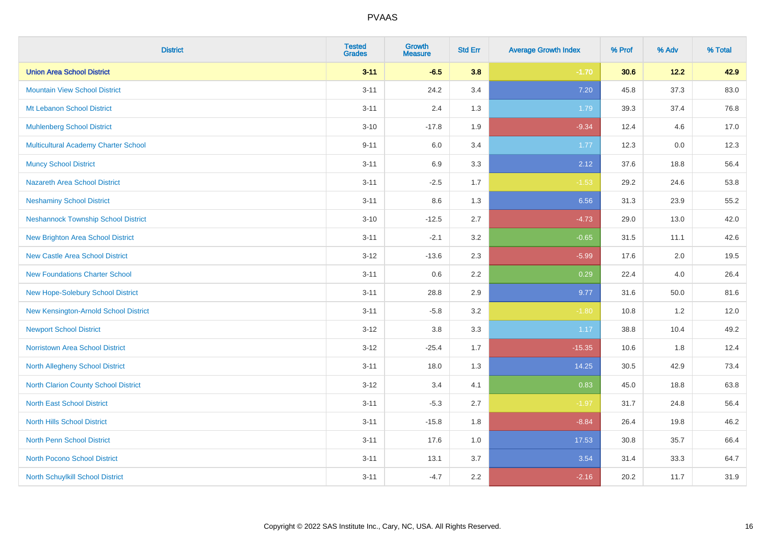| <b>District</b>                            | <b>Tested</b><br><b>Grades</b> | <b>Growth</b><br><b>Measure</b> | <b>Std Err</b> | <b>Average Growth Index</b> | % Prof | % Adv | % Total |
|--------------------------------------------|--------------------------------|---------------------------------|----------------|-----------------------------|--------|-------|---------|
| <b>Union Area School District</b>          | $3 - 11$                       | $-6.5$                          | 3.8            | $-1.70$                     | 30.6   | 12.2  | 42.9    |
| <b>Mountain View School District</b>       | $3 - 11$                       | 24.2                            | 3.4            | 7.20                        | 45.8   | 37.3  | 83.0    |
| Mt Lebanon School District                 | $3 - 11$                       | 2.4                             | 1.3            | 1.79                        | 39.3   | 37.4  | 76.8    |
| <b>Muhlenberg School District</b>          | $3 - 10$                       | $-17.8$                         | 1.9            | $-9.34$                     | 12.4   | 4.6   | 17.0    |
| Multicultural Academy Charter School       | $9 - 11$                       | 6.0                             | 3.4            | 1.77                        | 12.3   | 0.0   | 12.3    |
| <b>Muncy School District</b>               | $3 - 11$                       | 6.9                             | 3.3            | 2.12                        | 37.6   | 18.8  | 56.4    |
| Nazareth Area School District              | $3 - 11$                       | $-2.5$                          | 1.7            | $-1.53$                     | 29.2   | 24.6  | 53.8    |
| <b>Neshaminy School District</b>           | $3 - 11$                       | 8.6                             | 1.3            | 6.56                        | 31.3   | 23.9  | 55.2    |
| <b>Neshannock Township School District</b> | $3 - 10$                       | $-12.5$                         | 2.7            | $-4.73$                     | 29.0   | 13.0  | 42.0    |
| <b>New Brighton Area School District</b>   | $3 - 11$                       | $-2.1$                          | 3.2            | $-0.65$                     | 31.5   | 11.1  | 42.6    |
| <b>New Castle Area School District</b>     | $3 - 12$                       | $-13.6$                         | 2.3            | $-5.99$                     | 17.6   | 2.0   | 19.5    |
| <b>New Foundations Charter School</b>      | $3 - 11$                       | 0.6                             | 2.2            | 0.29                        | 22.4   | 4.0   | 26.4    |
| New Hope-Solebury School District          | $3 - 11$                       | 28.8                            | 2.9            | 9.77                        | 31.6   | 50.0  | 81.6    |
| New Kensington-Arnold School District      | $3 - 11$                       | $-5.8$                          | 3.2            | $-1.80$                     | 10.8   | 1.2   | 12.0    |
| <b>Newport School District</b>             | $3 - 12$                       | $3.8\,$                         | 3.3            | 1.17                        | 38.8   | 10.4  | 49.2    |
| <b>Norristown Area School District</b>     | $3 - 12$                       | $-25.4$                         | 1.7            | $-15.35$                    | 10.6   | 1.8   | 12.4    |
| <b>North Allegheny School District</b>     | $3 - 11$                       | 18.0                            | 1.3            | 14.25                       | 30.5   | 42.9  | 73.4    |
| North Clarion County School District       | $3 - 12$                       | 3.4                             | 4.1            | 0.83                        | 45.0   | 18.8  | 63.8    |
| <b>North East School District</b>          | $3 - 11$                       | $-5.3$                          | 2.7            | $-1.97$                     | 31.7   | 24.8  | 56.4    |
| <b>North Hills School District</b>         | $3 - 11$                       | $-15.8$                         | 1.8            | $-8.84$                     | 26.4   | 19.8  | 46.2    |
| North Penn School District                 | $3 - 11$                       | 17.6                            | 1.0            | 17.53                       | 30.8   | 35.7  | 66.4    |
| <b>North Pocono School District</b>        | $3 - 11$                       | 13.1                            | 3.7            | 3.54                        | 31.4   | 33.3  | 64.7    |
| <b>North Schuylkill School District</b>    | $3 - 11$                       | $-4.7$                          | 2.2            | $-2.16$                     | 20.2   | 11.7  | 31.9    |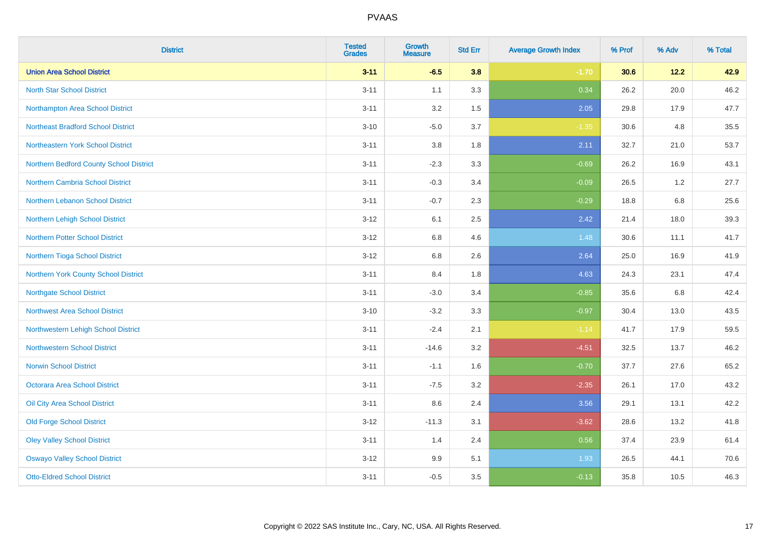| <b>District</b>                           | <b>Tested</b><br><b>Grades</b> | <b>Growth</b><br><b>Measure</b> | <b>Std Err</b> | <b>Average Growth Index</b> | % Prof | % Adv   | % Total |
|-------------------------------------------|--------------------------------|---------------------------------|----------------|-----------------------------|--------|---------|---------|
| <b>Union Area School District</b>         | $3 - 11$                       | $-6.5$                          | 3.8            | $-1.70$                     | 30.6   | 12.2    | 42.9    |
| <b>North Star School District</b>         | $3 - 11$                       | 1.1                             | 3.3            | 0.34                        | 26.2   | 20.0    | 46.2    |
| Northampton Area School District          | $3 - 11$                       | 3.2                             | 1.5            | 2.05                        | 29.8   | 17.9    | 47.7    |
| <b>Northeast Bradford School District</b> | $3 - 10$                       | $-5.0$                          | 3.7            | $-1.35$                     | 30.6   | 4.8     | 35.5    |
| Northeastern York School District         | $3 - 11$                       | 3.8                             | 1.8            | 2.11                        | 32.7   | 21.0    | 53.7    |
| Northern Bedford County School District   | $3 - 11$                       | $-2.3$                          | 3.3            | $-0.69$                     | 26.2   | 16.9    | 43.1    |
| Northern Cambria School District          | $3 - 11$                       | $-0.3$                          | 3.4            | $-0.09$                     | 26.5   | 1.2     | 27.7    |
| Northern Lebanon School District          | $3 - 11$                       | $-0.7$                          | 2.3            | $-0.29$                     | 18.8   | 6.8     | 25.6    |
| Northern Lehigh School District           | $3 - 12$                       | 6.1                             | 2.5            | 2.42                        | 21.4   | 18.0    | 39.3    |
| Northern Potter School District           | $3 - 12$                       | 6.8                             | 4.6            | 1.48                        | 30.6   | 11.1    | 41.7    |
| Northern Tioga School District            | $3 - 12$                       | 6.8                             | 2.6            | 2.64                        | 25.0   | 16.9    | 41.9    |
| Northern York County School District      | $3 - 11$                       | 8.4                             | 1.8            | 4.63                        | 24.3   | 23.1    | 47.4    |
| <b>Northgate School District</b>          | $3 - 11$                       | $-3.0$                          | 3.4            | $-0.85$                     | 35.6   | $6.8\,$ | 42.4    |
| <b>Northwest Area School District</b>     | $3 - 10$                       | $-3.2$                          | 3.3            | $-0.97$                     | 30.4   | 13.0    | 43.5    |
| Northwestern Lehigh School District       | $3 - 11$                       | $-2.4$                          | 2.1            | $-1.14$                     | 41.7   | 17.9    | 59.5    |
| <b>Northwestern School District</b>       | $3 - 11$                       | $-14.6$                         | 3.2            | $-4.51$                     | 32.5   | 13.7    | 46.2    |
| <b>Norwin School District</b>             | $3 - 11$                       | $-1.1$                          | 1.6            | $-0.70$                     | 37.7   | 27.6    | 65.2    |
| <b>Octorara Area School District</b>      | $3 - 11$                       | $-7.5$                          | 3.2            | $-2.35$                     | 26.1   | 17.0    | 43.2    |
| Oil City Area School District             | $3 - 11$                       | 8.6                             | 2.4            | 3.56                        | 29.1   | 13.1    | 42.2    |
| <b>Old Forge School District</b>          | $3 - 12$                       | $-11.3$                         | 3.1            | $-3.62$                     | 28.6   | 13.2    | 41.8    |
| <b>Oley Valley School District</b>        | $3 - 11$                       | 1.4                             | 2.4            | 0.56                        | 37.4   | 23.9    | 61.4    |
| <b>Oswayo Valley School District</b>      | $3 - 12$                       | 9.9                             | 5.1            | 1.93                        | 26.5   | 44.1    | 70.6    |
| <b>Otto-Eldred School District</b>        | $3 - 11$                       | $-0.5$                          | 3.5            | $-0.13$                     | 35.8   | 10.5    | 46.3    |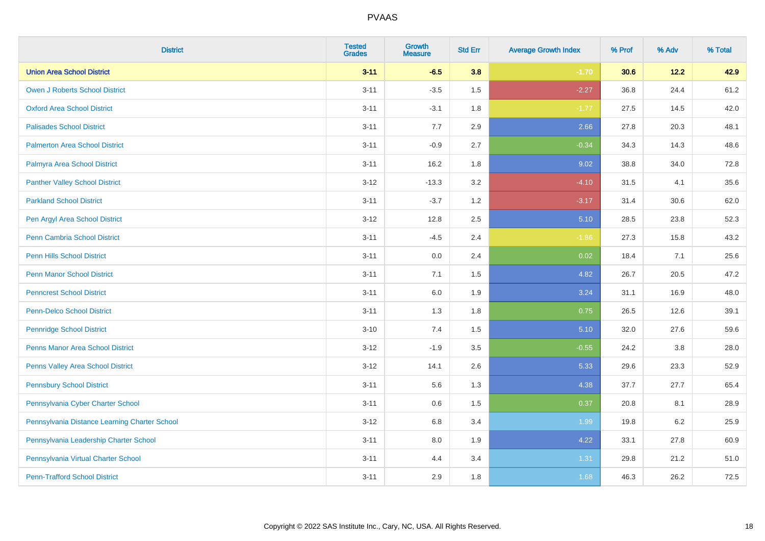| <b>District</b>                               | <b>Tested</b><br><b>Grades</b> | <b>Growth</b><br><b>Measure</b> | <b>Std Err</b> | <b>Average Growth Index</b> | % Prof | % Adv   | % Total |
|-----------------------------------------------|--------------------------------|---------------------------------|----------------|-----------------------------|--------|---------|---------|
| <b>Union Area School District</b>             | $3 - 11$                       | $-6.5$                          | 3.8            | $-1.70$                     | 30.6   | 12.2    | 42.9    |
| <b>Owen J Roberts School District</b>         | $3 - 11$                       | $-3.5$                          | 1.5            | $-2.27$                     | 36.8   | 24.4    | 61.2    |
| <b>Oxford Area School District</b>            | $3 - 11$                       | $-3.1$                          | 1.8            | $-1.77$                     | 27.5   | 14.5    | 42.0    |
| <b>Palisades School District</b>              | $3 - 11$                       | 7.7                             | 2.9            | 2.66                        | 27.8   | 20.3    | 48.1    |
| <b>Palmerton Area School District</b>         | $3 - 11$                       | $-0.9$                          | 2.7            | $-0.34$                     | 34.3   | 14.3    | 48.6    |
| Palmyra Area School District                  | $3 - 11$                       | 16.2                            | 1.8            | 9.02                        | 38.8   | 34.0    | 72.8    |
| <b>Panther Valley School District</b>         | $3 - 12$                       | $-13.3$                         | 3.2            | $-4.10$                     | 31.5   | 4.1     | 35.6    |
| <b>Parkland School District</b>               | $3 - 11$                       | $-3.7$                          | 1.2            | $-3.17$                     | 31.4   | 30.6    | 62.0    |
| Pen Argyl Area School District                | $3-12$                         | 12.8                            | 2.5            | 5.10                        | 28.5   | 23.8    | 52.3    |
| <b>Penn Cambria School District</b>           | $3 - 11$                       | $-4.5$                          | 2.4            | $-1.86$                     | 27.3   | 15.8    | 43.2    |
| <b>Penn Hills School District</b>             | $3 - 11$                       | 0.0                             | 2.4            | 0.02                        | 18.4   | 7.1     | 25.6    |
| <b>Penn Manor School District</b>             | $3 - 11$                       | 7.1                             | 1.5            | 4.82                        | 26.7   | 20.5    | 47.2    |
| <b>Penncrest School District</b>              | $3 - 11$                       | $6.0\,$                         | 1.9            | 3.24                        | 31.1   | 16.9    | 48.0    |
| <b>Penn-Delco School District</b>             | $3 - 11$                       | 1.3                             | 1.8            | 0.75                        | 26.5   | 12.6    | 39.1    |
| <b>Pennridge School District</b>              | $3 - 10$                       | 7.4                             | 1.5            | 5.10                        | 32.0   | 27.6    | 59.6    |
| <b>Penns Manor Area School District</b>       | $3 - 12$                       | $-1.9$                          | 3.5            | $-0.55$                     | 24.2   | $3.8\,$ | 28.0    |
| Penns Valley Area School District             | $3 - 12$                       | 14.1                            | 2.6            | 5.33                        | 29.6   | 23.3    | 52.9    |
| <b>Pennsbury School District</b>              | $3 - 11$                       | 5.6                             | 1.3            | 4.38                        | 37.7   | 27.7    | 65.4    |
| Pennsylvania Cyber Charter School             | $3 - 11$                       | 0.6                             | 1.5            | 0.37                        | 20.8   | 8.1     | 28.9    |
| Pennsylvania Distance Learning Charter School | $3-12$                         | 6.8                             | 3.4            | 1.99                        | 19.8   | 6.2     | 25.9    |
| Pennsylvania Leadership Charter School        | $3 - 11$                       | 8.0                             | 1.9            | 4.22                        | 33.1   | 27.8    | 60.9    |
| Pennsylvania Virtual Charter School           | $3 - 11$                       | 4.4                             | 3.4            | 1.31                        | 29.8   | 21.2    | 51.0    |
| <b>Penn-Trafford School District</b>          | $3 - 11$                       | 2.9                             | 1.8            | 1.68                        | 46.3   | 26.2    | 72.5    |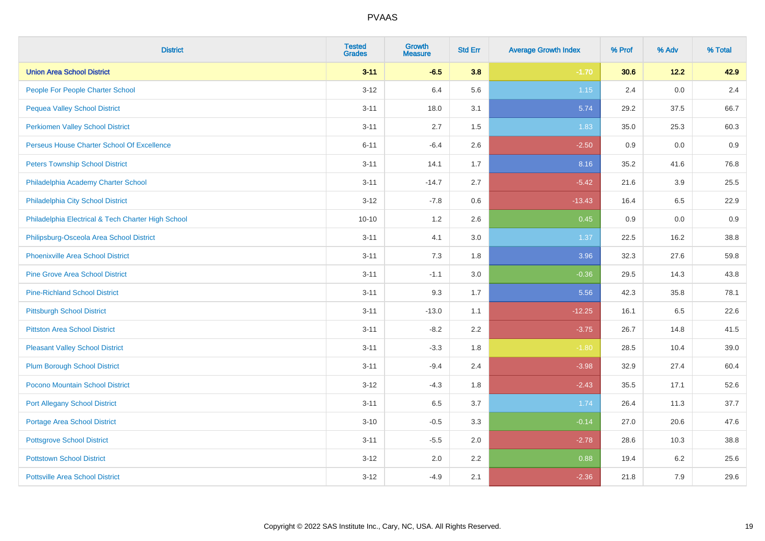| <b>District</b>                                    | <b>Tested</b><br><b>Grades</b> | <b>Growth</b><br><b>Measure</b> | <b>Std Err</b> | <b>Average Growth Index</b> | % Prof | % Adv  | % Total |
|----------------------------------------------------|--------------------------------|---------------------------------|----------------|-----------------------------|--------|--------|---------|
| <b>Union Area School District</b>                  | $3 - 11$                       | $-6.5$                          | 3.8            | $-1.70$                     | 30.6   | $12.2$ | 42.9    |
| People For People Charter School                   | $3 - 12$                       | 6.4                             | 5.6            | $1.15$                      | 2.4    | 0.0    | 2.4     |
| <b>Pequea Valley School District</b>               | $3 - 11$                       | 18.0                            | 3.1            | 5.74                        | 29.2   | 37.5   | 66.7    |
| <b>Perkiomen Valley School District</b>            | $3 - 11$                       | 2.7                             | 1.5            | 1.83                        | 35.0   | 25.3   | 60.3    |
| Perseus House Charter School Of Excellence         | $6 - 11$                       | $-6.4$                          | 2.6            | $-2.50$                     | 0.9    | 0.0    | 0.9     |
| <b>Peters Township School District</b>             | $3 - 11$                       | 14.1                            | 1.7            | 8.16                        | 35.2   | 41.6   | 76.8    |
| Philadelphia Academy Charter School                | $3 - 11$                       | $-14.7$                         | 2.7            | $-5.42$                     | 21.6   | 3.9    | 25.5    |
| Philadelphia City School District                  | $3 - 12$                       | $-7.8$                          | 0.6            | $-13.43$                    | 16.4   | 6.5    | 22.9    |
| Philadelphia Electrical & Tech Charter High School | $10 - 10$                      | 1.2                             | 2.6            | 0.45                        | 0.9    | 0.0    | 0.9     |
| Philipsburg-Osceola Area School District           | $3 - 11$                       | 4.1                             | 3.0            | 1.37                        | 22.5   | 16.2   | 38.8    |
| Phoenixville Area School District                  | $3 - 11$                       | 7.3                             | 1.8            | 3.96                        | 32.3   | 27.6   | 59.8    |
| <b>Pine Grove Area School District</b>             | $3 - 11$                       | $-1.1$                          | 3.0            | $-0.36$                     | 29.5   | 14.3   | 43.8    |
| <b>Pine-Richland School District</b>               | $3 - 11$                       | 9.3                             | 1.7            | 5.56                        | 42.3   | 35.8   | 78.1    |
| <b>Pittsburgh School District</b>                  | $3 - 11$                       | $-13.0$                         | 1.1            | $-12.25$                    | 16.1   | 6.5    | 22.6    |
| <b>Pittston Area School District</b>               | $3 - 11$                       | $-8.2$                          | 2.2            | $-3.75$                     | 26.7   | 14.8   | 41.5    |
| <b>Pleasant Valley School District</b>             | $3 - 11$                       | $-3.3$                          | 1.8            | $-1.80$                     | 28.5   | 10.4   | 39.0    |
| <b>Plum Borough School District</b>                | $3 - 11$                       | $-9.4$                          | 2.4            | $-3.98$                     | 32.9   | 27.4   | 60.4    |
| Pocono Mountain School District                    | $3 - 12$                       | $-4.3$                          | 1.8            | $-2.43$                     | 35.5   | 17.1   | 52.6    |
| <b>Port Allegany School District</b>               | $3 - 11$                       | 6.5                             | 3.7            | 1.74                        | 26.4   | 11.3   | 37.7    |
| <b>Portage Area School District</b>                | $3 - 10$                       | $-0.5$                          | 3.3            | $-0.14$                     | 27.0   | 20.6   | 47.6    |
| <b>Pottsgrove School District</b>                  | $3 - 11$                       | $-5.5$                          | 2.0            | $-2.78$                     | 28.6   | 10.3   | 38.8    |
| <b>Pottstown School District</b>                   | $3 - 12$                       | 2.0                             | 2.2            | 0.88                        | 19.4   | 6.2    | 25.6    |
| <b>Pottsville Area School District</b>             | $3-12$                         | $-4.9$                          | 2.1            | $-2.36$                     | 21.8   | 7.9    | 29.6    |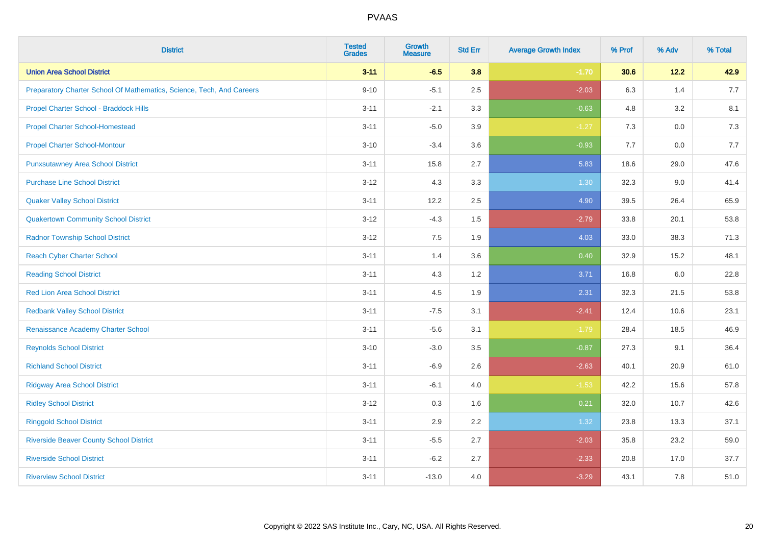| <b>District</b>                                                       | <b>Tested</b><br><b>Grades</b> | <b>Growth</b><br><b>Measure</b> | <b>Std Err</b> | <b>Average Growth Index</b> | % Prof | % Adv   | % Total |
|-----------------------------------------------------------------------|--------------------------------|---------------------------------|----------------|-----------------------------|--------|---------|---------|
| <b>Union Area School District</b>                                     | $3 - 11$                       | $-6.5$                          | 3.8            | $-1.70$                     | 30.6   | 12.2    | 42.9    |
| Preparatory Charter School Of Mathematics, Science, Tech, And Careers | $9 - 10$                       | $-5.1$                          | 2.5            | $-2.03$                     | 6.3    | 1.4     | 7.7     |
| Propel Charter School - Braddock Hills                                | $3 - 11$                       | $-2.1$                          | 3.3            | $-0.63$                     | 4.8    | 3.2     | 8.1     |
| <b>Propel Charter School-Homestead</b>                                | $3 - 11$                       | $-5.0$                          | 3.9            | $-1.27$                     | 7.3    | $0.0\,$ | 7.3     |
| <b>Propel Charter School-Montour</b>                                  | $3 - 10$                       | $-3.4$                          | 3.6            | $-0.93$                     | 7.7    | 0.0     | 7.7     |
| <b>Punxsutawney Area School District</b>                              | $3 - 11$                       | 15.8                            | 2.7            | 5.83                        | 18.6   | 29.0    | 47.6    |
| <b>Purchase Line School District</b>                                  | $3 - 12$                       | 4.3                             | 3.3            | 1.30                        | 32.3   | 9.0     | 41.4    |
| <b>Quaker Valley School District</b>                                  | $3 - 11$                       | 12.2                            | 2.5            | 4.90                        | 39.5   | 26.4    | 65.9    |
| <b>Quakertown Community School District</b>                           | $3 - 12$                       | $-4.3$                          | 1.5            | $-2.79$                     | 33.8   | 20.1    | 53.8    |
| <b>Radnor Township School District</b>                                | $3 - 12$                       | 7.5                             | 1.9            | 4.03                        | 33.0   | 38.3    | 71.3    |
| <b>Reach Cyber Charter School</b>                                     | $3 - 11$                       | 1.4                             | 3.6            | 0.40                        | 32.9   | 15.2    | 48.1    |
| <b>Reading School District</b>                                        | $3 - 11$                       | 4.3                             | 1.2            | 3.71                        | 16.8   | 6.0     | 22.8    |
| Red Lion Area School District                                         | $3 - 11$                       | 4.5                             | 1.9            | 2.31                        | 32.3   | 21.5    | 53.8    |
| <b>Redbank Valley School District</b>                                 | $3 - 11$                       | $-7.5$                          | 3.1            | $-2.41$                     | 12.4   | 10.6    | 23.1    |
| Renaissance Academy Charter School                                    | $3 - 11$                       | $-5.6$                          | 3.1            | $-1.79$                     | 28.4   | 18.5    | 46.9    |
| <b>Reynolds School District</b>                                       | $3 - 10$                       | $-3.0$                          | 3.5            | $-0.87$                     | 27.3   | 9.1     | 36.4    |
| <b>Richland School District</b>                                       | $3 - 11$                       | $-6.9$                          | 2.6            | $-2.63$                     | 40.1   | 20.9    | 61.0    |
| <b>Ridgway Area School District</b>                                   | $3 - 11$                       | $-6.1$                          | 4.0            | $-1.53$                     | 42.2   | 15.6    | 57.8    |
| <b>Ridley School District</b>                                         | $3 - 12$                       | 0.3                             | 1.6            | 0.21                        | 32.0   | 10.7    | 42.6    |
| <b>Ringgold School District</b>                                       | $3 - 11$                       | 2.9                             | 2.2            | 1.32                        | 23.8   | 13.3    | 37.1    |
| <b>Riverside Beaver County School District</b>                        | $3 - 11$                       | $-5.5$                          | 2.7            | $-2.03$                     | 35.8   | 23.2    | 59.0    |
| <b>Riverside School District</b>                                      | $3 - 11$                       | $-6.2$                          | 2.7            | $-2.33$                     | 20.8   | 17.0    | 37.7    |
| <b>Riverview School District</b>                                      | $3 - 11$                       | $-13.0$                         | 4.0            | $-3.29$                     | 43.1   | 7.8     | 51.0    |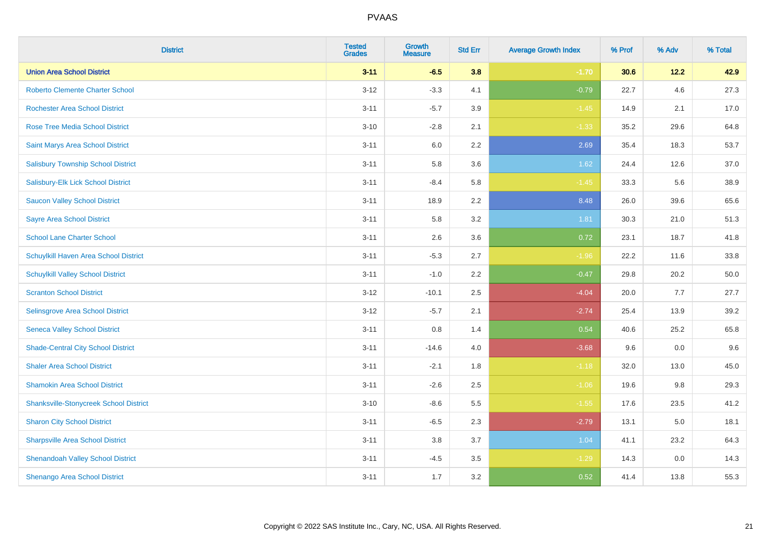| <b>District</b>                               | <b>Tested</b><br><b>Grades</b> | <b>Growth</b><br><b>Measure</b> | <b>Std Err</b> | <b>Average Growth Index</b> | % Prof | % Adv  | % Total |
|-----------------------------------------------|--------------------------------|---------------------------------|----------------|-----------------------------|--------|--------|---------|
| <b>Union Area School District</b>             | $3 - 11$                       | $-6.5$                          | 3.8            | $-1.70$                     | 30.6   | $12.2$ | 42.9    |
| <b>Roberto Clemente Charter School</b>        | $3 - 12$                       | $-3.3$                          | 4.1            | $-0.79$                     | 22.7   | 4.6    | 27.3    |
| <b>Rochester Area School District</b>         | $3 - 11$                       | $-5.7$                          | 3.9            | $-1.45$                     | 14.9   | 2.1    | 17.0    |
| <b>Rose Tree Media School District</b>        | $3 - 10$                       | $-2.8$                          | 2.1            | $-1.33$                     | 35.2   | 29.6   | 64.8    |
| Saint Marys Area School District              | $3 - 11$                       | 6.0                             | 2.2            | 2.69                        | 35.4   | 18.3   | 53.7    |
| <b>Salisbury Township School District</b>     | $3 - 11$                       | 5.8                             | 3.6            | 1.62                        | 24.4   | 12.6   | 37.0    |
| Salisbury-Elk Lick School District            | $3 - 11$                       | $-8.4$                          | 5.8            | $-1.45$                     | 33.3   | 5.6    | 38.9    |
| <b>Saucon Valley School District</b>          | $3 - 11$                       | 18.9                            | 2.2            | 8.48                        | 26.0   | 39.6   | 65.6    |
| <b>Sayre Area School District</b>             | $3 - 11$                       | 5.8                             | 3.2            | 1.81                        | 30.3   | 21.0   | 51.3    |
| <b>School Lane Charter School</b>             | $3 - 11$                       | 2.6                             | 3.6            | 0.72                        | 23.1   | 18.7   | 41.8    |
| Schuylkill Haven Area School District         | $3 - 11$                       | $-5.3$                          | 2.7            | $-1.96$                     | 22.2   | 11.6   | 33.8    |
| <b>Schuylkill Valley School District</b>      | $3 - 11$                       | $-1.0$                          | 2.2            | $-0.47$                     | 29.8   | 20.2   | 50.0    |
| <b>Scranton School District</b>               | $3 - 12$                       | $-10.1$                         | 2.5            | $-4.04$                     | 20.0   | 7.7    | 27.7    |
| Selinsgrove Area School District              | $3 - 12$                       | $-5.7$                          | 2.1            | $-2.74$                     | 25.4   | 13.9   | 39.2    |
| <b>Seneca Valley School District</b>          | $3 - 11$                       | $0.8\,$                         | 1.4            | 0.54                        | 40.6   | 25.2   | 65.8    |
| <b>Shade-Central City School District</b>     | $3 - 11$                       | $-14.6$                         | 4.0            | $-3.68$                     | 9.6    | 0.0    | 9.6     |
| <b>Shaler Area School District</b>            | $3 - 11$                       | $-2.1$                          | 1.8            | $-1.18$                     | 32.0   | 13.0   | 45.0    |
| <b>Shamokin Area School District</b>          | $3 - 11$                       | $-2.6$                          | 2.5            | $-1.06$                     | 19.6   | 9.8    | 29.3    |
| <b>Shanksville-Stonycreek School District</b> | $3 - 10$                       | $-8.6$                          | 5.5            | $-1.55$                     | 17.6   | 23.5   | 41.2    |
| <b>Sharon City School District</b>            | $3 - 11$                       | $-6.5$                          | 2.3            | $-2.79$                     | 13.1   | 5.0    | 18.1    |
| <b>Sharpsville Area School District</b>       | $3 - 11$                       | 3.8                             | 3.7            | 1.04                        | 41.1   | 23.2   | 64.3    |
| <b>Shenandoah Valley School District</b>      | $3 - 11$                       | $-4.5$                          | 3.5            | $-1.29$                     | 14.3   | 0.0    | 14.3    |
| <b>Shenango Area School District</b>          | $3 - 11$                       | 1.7                             | 3.2            | 0.52                        | 41.4   | 13.8   | 55.3    |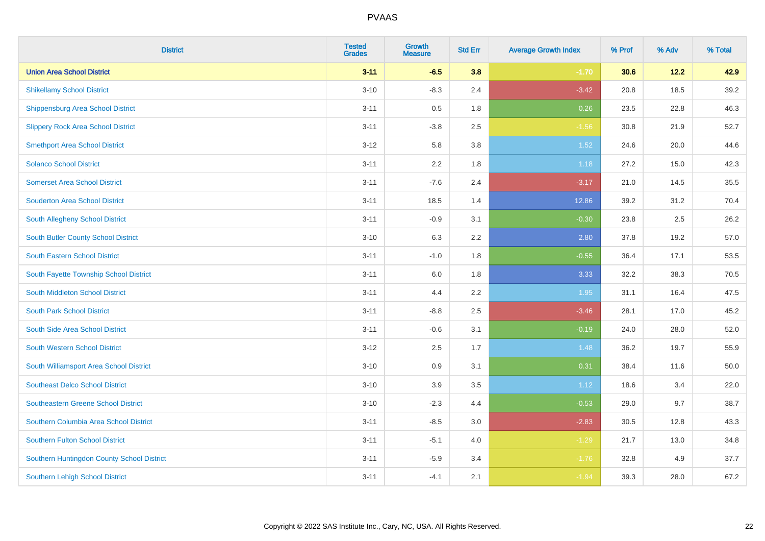| <b>District</b>                            | <b>Tested</b><br><b>Grades</b> | <b>Growth</b><br><b>Measure</b> | <b>Std Err</b> | <b>Average Growth Index</b> | % Prof | % Adv  | % Total |
|--------------------------------------------|--------------------------------|---------------------------------|----------------|-----------------------------|--------|--------|---------|
| <b>Union Area School District</b>          | $3 - 11$                       | $-6.5$                          | 3.8            | $-1.70$                     | 30.6   | $12.2$ | 42.9    |
| <b>Shikellamy School District</b>          | $3 - 10$                       | $-8.3$                          | 2.4            | $-3.42$                     | 20.8   | 18.5   | 39.2    |
| <b>Shippensburg Area School District</b>   | $3 - 11$                       | 0.5                             | 1.8            | 0.26                        | 23.5   | 22.8   | 46.3    |
| <b>Slippery Rock Area School District</b>  | $3 - 11$                       | $-3.8$                          | 2.5            | $-1.56$                     | 30.8   | 21.9   | 52.7    |
| <b>Smethport Area School District</b>      | $3 - 12$                       | 5.8                             | 3.8            | 1.52                        | 24.6   | 20.0   | 44.6    |
| <b>Solanco School District</b>             | $3 - 11$                       | 2.2                             | 1.8            | 1.18                        | 27.2   | 15.0   | 42.3    |
| <b>Somerset Area School District</b>       | $3 - 11$                       | $-7.6$                          | 2.4            | $-3.17$                     | 21.0   | 14.5   | 35.5    |
| <b>Souderton Area School District</b>      | $3 - 11$                       | 18.5                            | 1.4            | 12.86                       | 39.2   | 31.2   | 70.4    |
| South Allegheny School District            | $3 - 11$                       | $-0.9$                          | 3.1            | $-0.30$                     | 23.8   | 2.5    | 26.2    |
| <b>South Butler County School District</b> | $3 - 10$                       | 6.3                             | 2.2            | 2.80                        | 37.8   | 19.2   | 57.0    |
| South Eastern School District              | $3 - 11$                       | $-1.0$                          | 1.8            | $-0.55$                     | 36.4   | 17.1   | 53.5    |
| South Fayette Township School District     | $3 - 11$                       | 6.0                             | 1.8            | 3.33                        | 32.2   | 38.3   | 70.5    |
| South Middleton School District            | $3 - 11$                       | 4.4                             | 2.2            | 1.95                        | 31.1   | 16.4   | 47.5    |
| <b>South Park School District</b>          | $3 - 11$                       | $-8.8$                          | 2.5            | $-3.46$                     | 28.1   | 17.0   | 45.2    |
| South Side Area School District            | $3 - 11$                       | $-0.6$                          | 3.1            | $-0.19$                     | 24.0   | 28.0   | 52.0    |
| South Western School District              | $3 - 12$                       | 2.5                             | 1.7            | 1.48                        | 36.2   | 19.7   | 55.9    |
| South Williamsport Area School District    | $3 - 10$                       | $0.9\,$                         | 3.1            | 0.31                        | 38.4   | 11.6   | 50.0    |
| <b>Southeast Delco School District</b>     | $3 - 10$                       | 3.9                             | 3.5            | 1.12                        | 18.6   | 3.4    | 22.0    |
| <b>Southeastern Greene School District</b> | $3 - 10$                       | $-2.3$                          | 4.4            | $-0.53$                     | 29.0   | 9.7    | 38.7    |
| Southern Columbia Area School District     | $3 - 11$                       | $-8.5$                          | 3.0            | $-2.83$                     | 30.5   | 12.8   | 43.3    |
| <b>Southern Fulton School District</b>     | $3 - 11$                       | $-5.1$                          | 4.0            | $-1.29$                     | 21.7   | 13.0   | 34.8    |
| Southern Huntingdon County School District | $3 - 11$                       | $-5.9$                          | 3.4            | $-1.76$                     | 32.8   | 4.9    | 37.7    |
| <b>Southern Lehigh School District</b>     | $3 - 11$                       | $-4.1$                          | 2.1            | $-1.94$                     | 39.3   | 28.0   | 67.2    |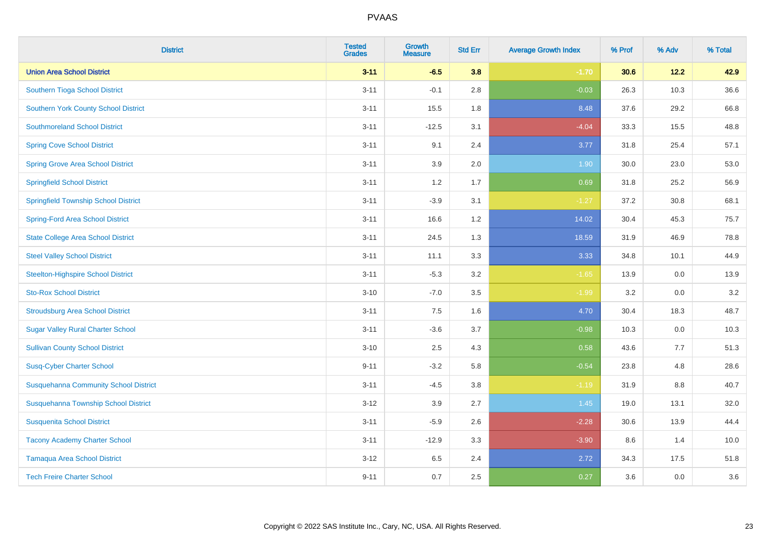| <b>District</b>                              | <b>Tested</b><br><b>Grades</b> | <b>Growth</b><br><b>Measure</b> | <b>Std Err</b> | <b>Average Growth Index</b> | % Prof | % Adv  | % Total |
|----------------------------------------------|--------------------------------|---------------------------------|----------------|-----------------------------|--------|--------|---------|
| <b>Union Area School District</b>            | $3 - 11$                       | $-6.5$                          | 3.8            | $-1.70$                     | 30.6   | $12.2$ | 42.9    |
| Southern Tioga School District               | $3 - 11$                       | $-0.1$                          | 2.8            | $-0.03$                     | 26.3   | 10.3   | 36.6    |
| <b>Southern York County School District</b>  | $3 - 11$                       | 15.5                            | 1.8            | 8.48                        | 37.6   | 29.2   | 66.8    |
| <b>Southmoreland School District</b>         | $3 - 11$                       | $-12.5$                         | 3.1            | $-4.04$                     | 33.3   | 15.5   | 48.8    |
| <b>Spring Cove School District</b>           | $3 - 11$                       | 9.1                             | 2.4            | 3.77                        | 31.8   | 25.4   | 57.1    |
| <b>Spring Grove Area School District</b>     | $3 - 11$                       | 3.9                             | 2.0            | 1.90                        | 30.0   | 23.0   | 53.0    |
| <b>Springfield School District</b>           | $3 - 11$                       | 1.2                             | 1.7            | 0.69                        | 31.8   | 25.2   | 56.9    |
| <b>Springfield Township School District</b>  | $3 - 11$                       | $-3.9$                          | 3.1            | $-1.27$                     | 37.2   | 30.8   | 68.1    |
| <b>Spring-Ford Area School District</b>      | $3 - 11$                       | 16.6                            | 1.2            | 14.02                       | 30.4   | 45.3   | 75.7    |
| <b>State College Area School District</b>    | $3 - 11$                       | 24.5                            | 1.3            | 18.59                       | 31.9   | 46.9   | 78.8    |
| <b>Steel Valley School District</b>          | $3 - 11$                       | 11.1                            | 3.3            | 3.33                        | 34.8   | 10.1   | 44.9    |
| <b>Steelton-Highspire School District</b>    | $3 - 11$                       | $-5.3$                          | 3.2            | $-1.65$                     | 13.9   | 0.0    | 13.9    |
| <b>Sto-Rox School District</b>               | $3 - 10$                       | $-7.0$                          | 3.5            | $-1.99$                     | 3.2    | 0.0    | 3.2     |
| <b>Stroudsburg Area School District</b>      | $3 - 11$                       | $7.5\,$                         | 1.6            | 4.70                        | 30.4   | 18.3   | 48.7    |
| <b>Sugar Valley Rural Charter School</b>     | $3 - 11$                       | $-3.6$                          | 3.7            | $-0.98$                     | 10.3   | 0.0    | 10.3    |
| <b>Sullivan County School District</b>       | $3 - 10$                       | 2.5                             | 4.3            | 0.58                        | 43.6   | 7.7    | 51.3    |
| <b>Susq-Cyber Charter School</b>             | $9 - 11$                       | $-3.2$                          | 5.8            | $-0.54$                     | 23.8   | 4.8    | 28.6    |
| <b>Susquehanna Community School District</b> | $3 - 11$                       | $-4.5$                          | 3.8            | $-1.19$                     | 31.9   | 8.8    | 40.7    |
| Susquehanna Township School District         | $3 - 12$                       | 3.9                             | 2.7            | 1.45                        | 19.0   | 13.1   | 32.0    |
| <b>Susquenita School District</b>            | $3 - 11$                       | $-5.9$                          | 2.6            | $-2.28$                     | 30.6   | 13.9   | 44.4    |
| <b>Tacony Academy Charter School</b>         | $3 - 11$                       | $-12.9$                         | 3.3            | $-3.90$                     | 8.6    | 1.4    | 10.0    |
| <b>Tamaqua Area School District</b>          | $3 - 12$                       | 6.5                             | 2.4            | 2.72                        | 34.3   | 17.5   | 51.8    |
| <b>Tech Freire Charter School</b>            | $9 - 11$                       | 0.7                             | 2.5            | 0.27                        | 3.6    | 0.0    | 3.6     |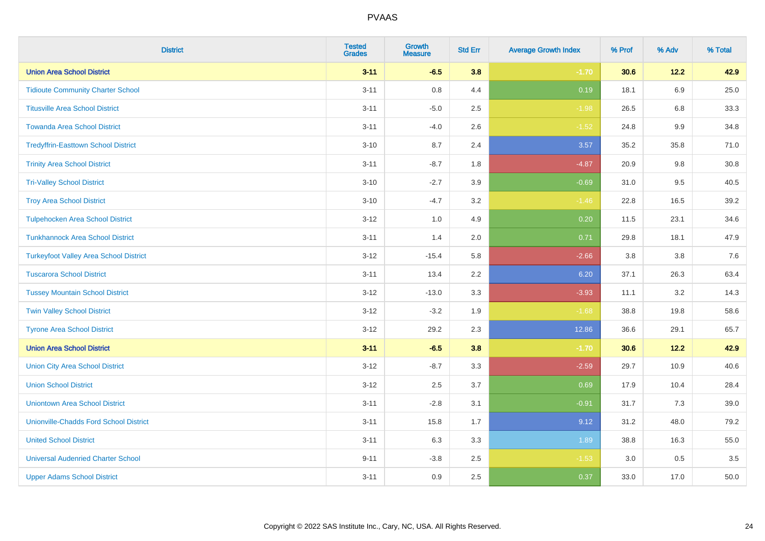| <b>District</b>                               | <b>Tested</b><br><b>Grades</b> | <b>Growth</b><br><b>Measure</b> | <b>Std Err</b> | <b>Average Growth Index</b> | % Prof | % Adv   | % Total |
|-----------------------------------------------|--------------------------------|---------------------------------|----------------|-----------------------------|--------|---------|---------|
| <b>Union Area School District</b>             | $3 - 11$                       | $-6.5$                          | 3.8            | $-1.70$                     | 30.6   | 12.2    | 42.9    |
| <b>Tidioute Community Charter School</b>      | $3 - 11$                       | 0.8                             | 4.4            | 0.19                        | 18.1   | 6.9     | 25.0    |
| <b>Titusville Area School District</b>        | $3 - 11$                       | $-5.0$                          | 2.5            | $-1.98$                     | 26.5   | 6.8     | 33.3    |
| <b>Towanda Area School District</b>           | $3 - 11$                       | $-4.0$                          | 2.6            | $-1.52$                     | 24.8   | $9.9\,$ | 34.8    |
| <b>Tredyffrin-Easttown School District</b>    | $3 - 10$                       | 8.7                             | 2.4            | 3.57                        | 35.2   | 35.8    | 71.0    |
| <b>Trinity Area School District</b>           | $3 - 11$                       | $-8.7$                          | 1.8            | $-4.87$                     | 20.9   | $9.8\,$ | 30.8    |
| <b>Tri-Valley School District</b>             | $3 - 10$                       | $-2.7$                          | 3.9            | $-0.69$                     | 31.0   | 9.5     | 40.5    |
| <b>Troy Area School District</b>              | $3 - 10$                       | $-4.7$                          | 3.2            | $-1.46$                     | 22.8   | 16.5    | 39.2    |
| <b>Tulpehocken Area School District</b>       | $3-12$                         | 1.0                             | 4.9            | 0.20                        | 11.5   | 23.1    | 34.6    |
| <b>Tunkhannock Area School District</b>       | $3 - 11$                       | 1.4                             | 2.0            | 0.71                        | 29.8   | 18.1    | 47.9    |
| <b>Turkeyfoot Valley Area School District</b> | $3-12$                         | $-15.4$                         | 5.8            | $-2.66$                     | 3.8    | 3.8     | 7.6     |
| <b>Tuscarora School District</b>              | $3 - 11$                       | 13.4                            | 2.2            | 6.20                        | 37.1   | 26.3    | 63.4    |
| <b>Tussey Mountain School District</b>        | $3 - 12$                       | $-13.0$                         | 3.3            | $-3.93$                     | 11.1   | 3.2     | 14.3    |
| <b>Twin Valley School District</b>            | $3-12$                         | $-3.2$                          | 1.9            | $-1.68$                     | 38.8   | 19.8    | 58.6    |
| <b>Tyrone Area School District</b>            | $3 - 12$                       | 29.2                            | 2.3            | 12.86                       | 36.6   | 29.1    | 65.7    |
| <b>Union Area School District</b>             | $3 - 11$                       | $-6.5$                          | 3.8            | $-1.70$                     | 30.6   | 12.2    | 42.9    |
| <b>Union City Area School District</b>        | $3-12$                         | $-8.7$                          | 3.3            | $-2.59$                     | 29.7   | 10.9    | 40.6    |
| <b>Union School District</b>                  | $3-12$                         | 2.5                             | 3.7            | 0.69                        | 17.9   | 10.4    | 28.4    |
| <b>Uniontown Area School District</b>         | $3 - 11$                       | $-2.8$                          | 3.1            | $-0.91$                     | 31.7   | 7.3     | 39.0    |
| <b>Unionville-Chadds Ford School District</b> | $3 - 11$                       | 15.8                            | 1.7            | 9.12                        | 31.2   | 48.0    | 79.2    |
| <b>United School District</b>                 | $3 - 11$                       | 6.3                             | 3.3            | 1.89                        | 38.8   | 16.3    | 55.0    |
| <b>Universal Audenried Charter School</b>     | $9 - 11$                       | $-3.8$                          | 2.5            | $-1.53$                     | 3.0    | 0.5     | 3.5     |
| <b>Upper Adams School District</b>            | $3 - 11$                       | 0.9                             | 2.5            | 0.37                        | 33.0   | 17.0    | 50.0    |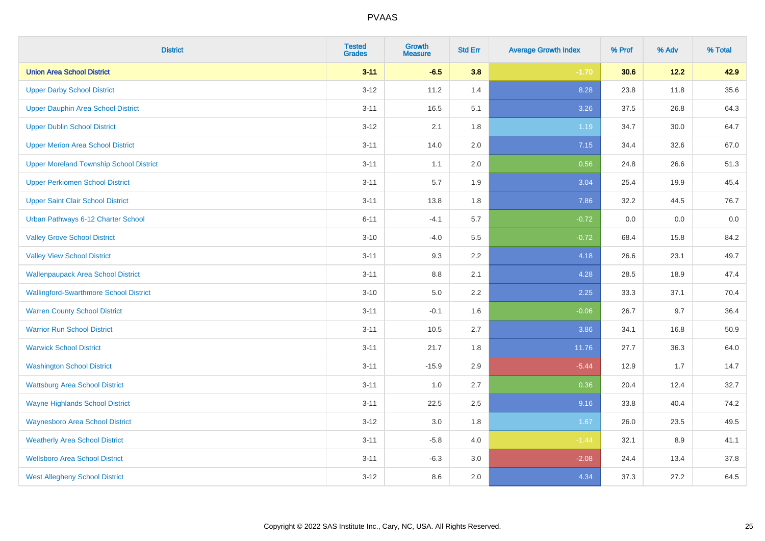| <b>District</b>                                | <b>Tested</b><br><b>Grades</b> | <b>Growth</b><br><b>Measure</b> | <b>Std Err</b> | <b>Average Growth Index</b> | % Prof | % Adv | % Total |
|------------------------------------------------|--------------------------------|---------------------------------|----------------|-----------------------------|--------|-------|---------|
| <b>Union Area School District</b>              | $3 - 11$                       | $-6.5$                          | 3.8            | $-1.70$                     | 30.6   | 12.2  | 42.9    |
| <b>Upper Darby School District</b>             | $3 - 12$                       | 11.2                            | 1.4            | 8.28                        | 23.8   | 11.8  | 35.6    |
| <b>Upper Dauphin Area School District</b>      | $3 - 11$                       | 16.5                            | 5.1            | 3.26                        | 37.5   | 26.8  | 64.3    |
| <b>Upper Dublin School District</b>            | $3-12$                         | 2.1                             | 1.8            | 1.19                        | 34.7   | 30.0  | 64.7    |
| <b>Upper Merion Area School District</b>       | $3 - 11$                       | 14.0                            | 2.0            | 7.15                        | 34.4   | 32.6  | 67.0    |
| <b>Upper Moreland Township School District</b> | $3 - 11$                       | 1.1                             | 2.0            | 0.56                        | 24.8   | 26.6  | 51.3    |
| <b>Upper Perkiomen School District</b>         | $3 - 11$                       | 5.7                             | 1.9            | 3.04                        | 25.4   | 19.9  | 45.4    |
| <b>Upper Saint Clair School District</b>       | $3 - 11$                       | 13.8                            | 1.8            | 7.86                        | 32.2   | 44.5  | 76.7    |
| Urban Pathways 6-12 Charter School             | $6 - 11$                       | $-4.1$                          | 5.7            | $-0.72$                     | 0.0    | 0.0   | $0.0\,$ |
| <b>Valley Grove School District</b>            | $3 - 10$                       | $-4.0$                          | 5.5            | $-0.72$                     | 68.4   | 15.8  | 84.2    |
| <b>Valley View School District</b>             | $3 - 11$                       | 9.3                             | 2.2            | 4.18                        | 26.6   | 23.1  | 49.7    |
| <b>Wallenpaupack Area School District</b>      | $3 - 11$                       | 8.8                             | 2.1            | 4.28                        | 28.5   | 18.9  | 47.4    |
| <b>Wallingford-Swarthmore School District</b>  | $3 - 10$                       | $5.0\,$                         | 2.2            | 2.25                        | 33.3   | 37.1  | 70.4    |
| <b>Warren County School District</b>           | $3 - 11$                       | $-0.1$                          | 1.6            | $-0.06$                     | 26.7   | 9.7   | 36.4    |
| <b>Warrior Run School District</b>             | $3 - 11$                       | 10.5                            | 2.7            | 3.86                        | 34.1   | 16.8  | 50.9    |
| <b>Warwick School District</b>                 | $3 - 11$                       | 21.7                            | 1.8            | 11.76                       | 27.7   | 36.3  | 64.0    |
| <b>Washington School District</b>              | $3 - 11$                       | $-15.9$                         | 2.9            | $-5.44$                     | 12.9   | 1.7   | 14.7    |
| <b>Wattsburg Area School District</b>          | $3 - 11$                       | 1.0                             | 2.7            | 0.36                        | 20.4   | 12.4  | 32.7    |
| <b>Wayne Highlands School District</b>         | $3 - 11$                       | 22.5                            | 2.5            | 9.16                        | 33.8   | 40.4  | 74.2    |
| <b>Waynesboro Area School District</b>         | $3 - 12$                       | 3.0                             | 1.8            | 1.67                        | 26.0   | 23.5  | 49.5    |
| <b>Weatherly Area School District</b>          | $3 - 11$                       | $-5.8$                          | 4.0            | $-1.44$                     | 32.1   | 8.9   | 41.1    |
| <b>Wellsboro Area School District</b>          | $3 - 11$                       | $-6.3$                          | 3.0            | $-2.08$                     | 24.4   | 13.4  | 37.8    |
| <b>West Allegheny School District</b>          | $3 - 12$                       | 8.6                             | 2.0            | 4.34                        | 37.3   | 27.2  | 64.5    |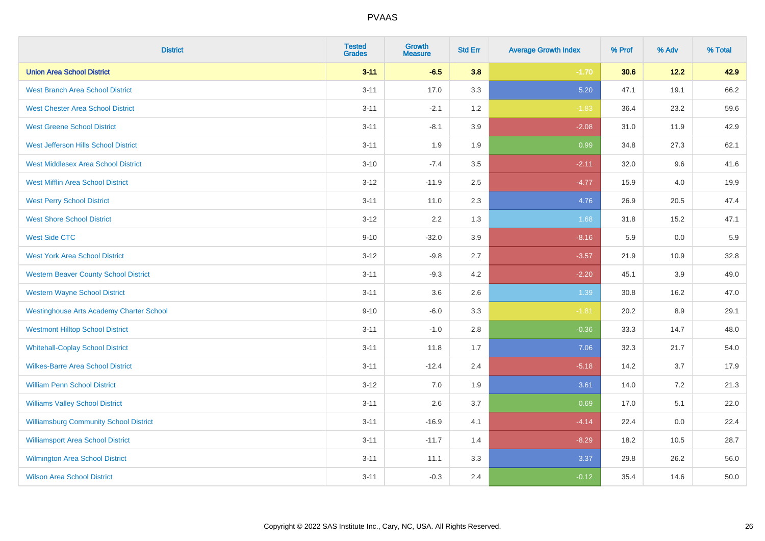| <b>District</b>                                 | <b>Tested</b><br><b>Grades</b> | <b>Growth</b><br><b>Measure</b> | <b>Std Err</b> | <b>Average Growth Index</b> | % Prof | % Adv | % Total |
|-------------------------------------------------|--------------------------------|---------------------------------|----------------|-----------------------------|--------|-------|---------|
| <b>Union Area School District</b>               | $3 - 11$                       | $-6.5$                          | 3.8            | $-1.70$                     | 30.6   | 12.2  | 42.9    |
| <b>West Branch Area School District</b>         | $3 - 11$                       | 17.0                            | 3.3            | 5.20                        | 47.1   | 19.1  | 66.2    |
| <b>West Chester Area School District</b>        | $3 - 11$                       | $-2.1$                          | 1.2            | $-1.83$                     | 36.4   | 23.2  | 59.6    |
| <b>West Greene School District</b>              | $3 - 11$                       | $-8.1$                          | 3.9            | $-2.08$                     | 31.0   | 11.9  | 42.9    |
| West Jefferson Hills School District            | $3 - 11$                       | 1.9                             | 1.9            | 0.99                        | 34.8   | 27.3  | 62.1    |
| <b>West Middlesex Area School District</b>      | $3 - 10$                       | $-7.4$                          | 3.5            | $-2.11$                     | 32.0   | 9.6   | 41.6    |
| <b>West Mifflin Area School District</b>        | $3 - 12$                       | $-11.9$                         | 2.5            | $-4.77$                     | 15.9   | 4.0   | 19.9    |
| <b>West Perry School District</b>               | $3 - 11$                       | 11.0                            | 2.3            | 4.76                        | 26.9   | 20.5  | 47.4    |
| <b>West Shore School District</b>               | $3 - 12$                       | 2.2                             | 1.3            | 1.68                        | 31.8   | 15.2  | 47.1    |
| <b>West Side CTC</b>                            | $9 - 10$                       | $-32.0$                         | 3.9            | $-8.16$                     | 5.9    | 0.0   | 5.9     |
| <b>West York Area School District</b>           | $3 - 12$                       | $-9.8$                          | 2.7            | $-3.57$                     | 21.9   | 10.9  | 32.8    |
| <b>Western Beaver County School District</b>    | $3 - 11$                       | $-9.3$                          | 4.2            | $-2.20$                     | 45.1   | 3.9   | 49.0    |
| <b>Western Wayne School District</b>            | $3 - 11$                       | 3.6                             | 2.6            | 1.39                        | 30.8   | 16.2  | 47.0    |
| <b>Westinghouse Arts Academy Charter School</b> | $9 - 10$                       | $-6.0$                          | 3.3            | $-1.81$                     | 20.2   | 8.9   | 29.1    |
| <b>Westmont Hilltop School District</b>         | $3 - 11$                       | $-1.0$                          | 2.8            | $-0.36$                     | 33.3   | 14.7  | 48.0    |
| <b>Whitehall-Coplay School District</b>         | $3 - 11$                       | 11.8                            | 1.7            | 7.06                        | 32.3   | 21.7  | 54.0    |
| <b>Wilkes-Barre Area School District</b>        | $3 - 11$                       | $-12.4$                         | 2.4            | $-5.18$                     | 14.2   | 3.7   | 17.9    |
| <b>William Penn School District</b>             | $3 - 12$                       | 7.0                             | 1.9            | 3.61                        | 14.0   | 7.2   | 21.3    |
| <b>Williams Valley School District</b>          | $3 - 11$                       | 2.6                             | 3.7            | 0.69                        | 17.0   | 5.1   | 22.0    |
| <b>Williamsburg Community School District</b>   | $3 - 11$                       | $-16.9$                         | 4.1            | $-4.14$                     | 22.4   | 0.0   | 22.4    |
| <b>Williamsport Area School District</b>        | $3 - 11$                       | $-11.7$                         | 1.4            | $-8.29$                     | 18.2   | 10.5  | 28.7    |
| Wilmington Area School District                 | $3 - 11$                       | 11.1                            | 3.3            | 3.37                        | 29.8   | 26.2  | 56.0    |
| <b>Wilson Area School District</b>              | $3 - 11$                       | $-0.3$                          | 2.4            | $-0.12$                     | 35.4   | 14.6  | 50.0    |